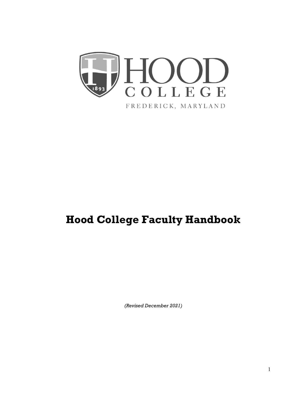

# **Hood College Faculty Handbook**

*(Revised December 2021)*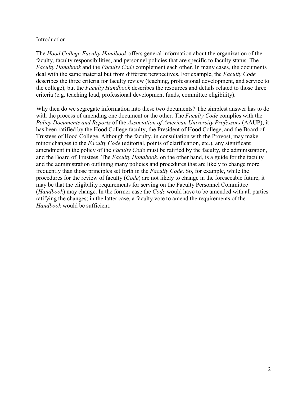# Introduction

The *Hood College Faculty Handbook* offers general information about the organization of the faculty, faculty responsibilities, and personnel policies that are specific to faculty status. The *Faculty Handbook* and the *Faculty Code* complement each other. In many cases, the documents deal with the same material but from different perspectives. For example, the *Faculty Code* describes the three criteria for faculty review (teaching, professional development, and service to the college), but the *Faculty Handbook* describes the resources and details related to those three criteria (e.g. teaching load, professional development funds, committee eligibility).

Why then do we segregate information into these two documents? The simplest answer has to do with the process of amending one document or the other. The *Faculty Code* complies with the *Policy Documents and Reports* of the *Association of American University Professors* (AAUP); it has been ratified by the Hood College faculty, the President of Hood College, and the Board of Trustees of Hood College, Although the faculty, in consultation with the Provost, may make minor changes to the *Faculty Code* (editorial, points of clarification, etc.), any significant amendment in the policy of the *Faculty Code* must be ratified by the faculty, the administration, and the Board of Trustees. The *Faculty Handbook*, on the other hand, is a guide for the faculty and the administration outlining many policies and procedures that are likely to change more frequently than those principles set forth in the *Faculty Code*. So, for example, while the procedures for the review of faculty (*Code*) are not likely to change in the foreseeable future, it may be that the eligibility requirements for serving on the Faculty Personnel Committee (*Handbook*) may change. In the former case the *Code* would have to be amended with all parties ratifying the changes; in the latter case, a faculty vote to amend the requirements of the *Handbook* would be sufficient.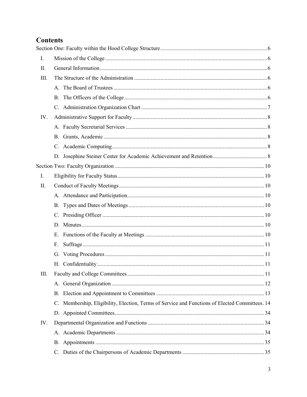# **Contents**

| Ι.   |    |                                                                                             |  |  |
|------|----|---------------------------------------------------------------------------------------------|--|--|
| II.  |    |                                                                                             |  |  |
| III. |    |                                                                                             |  |  |
|      |    |                                                                                             |  |  |
|      | B. |                                                                                             |  |  |
|      |    |                                                                                             |  |  |
| IV.  |    |                                                                                             |  |  |
|      |    |                                                                                             |  |  |
|      |    |                                                                                             |  |  |
|      | C. |                                                                                             |  |  |
|      |    |                                                                                             |  |  |
|      |    |                                                                                             |  |  |
| I.   |    |                                                                                             |  |  |
| II.  |    |                                                                                             |  |  |
|      |    |                                                                                             |  |  |
|      |    |                                                                                             |  |  |
|      |    |                                                                                             |  |  |
|      |    |                                                                                             |  |  |
|      | E. |                                                                                             |  |  |
|      | F. |                                                                                             |  |  |
|      |    |                                                                                             |  |  |
|      |    |                                                                                             |  |  |
| III. |    |                                                                                             |  |  |
|      |    |                                                                                             |  |  |
|      | В. |                                                                                             |  |  |
|      | C. | Membership, Eligibility, Election, Terms of Service and Functions of Elected Committees. 14 |  |  |
|      |    |                                                                                             |  |  |
| IV.  |    |                                                                                             |  |  |
|      |    |                                                                                             |  |  |
|      | В. |                                                                                             |  |  |
|      |    |                                                                                             |  |  |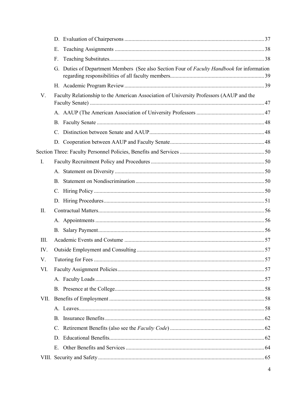|      | Е.        |                                                                                            |  |
|------|-----------|--------------------------------------------------------------------------------------------|--|
|      | F.        |                                                                                            |  |
|      |           | G. Duties of Department Members (See also Section Four of Faculty Handbook for information |  |
|      |           |                                                                                            |  |
| V.   |           | Faculty Relationship to the American Association of University Professors (AAUP and the    |  |
|      |           |                                                                                            |  |
|      |           |                                                                                            |  |
|      | C.        |                                                                                            |  |
|      |           |                                                                                            |  |
|      |           |                                                                                            |  |
| I.   |           |                                                                                            |  |
|      |           |                                                                                            |  |
|      | <b>B.</b> |                                                                                            |  |
|      |           |                                                                                            |  |
|      |           |                                                                                            |  |
| Π.   |           |                                                                                            |  |
|      |           |                                                                                            |  |
|      |           |                                                                                            |  |
| III. |           |                                                                                            |  |
| IV.  |           |                                                                                            |  |
| V.   |           |                                                                                            |  |
| VI.  |           |                                                                                            |  |
|      |           |                                                                                            |  |
|      |           |                                                                                            |  |
| VII. |           |                                                                                            |  |
|      |           |                                                                                            |  |
|      | В.        |                                                                                            |  |
|      |           |                                                                                            |  |
|      |           |                                                                                            |  |
|      |           |                                                                                            |  |
|      |           |                                                                                            |  |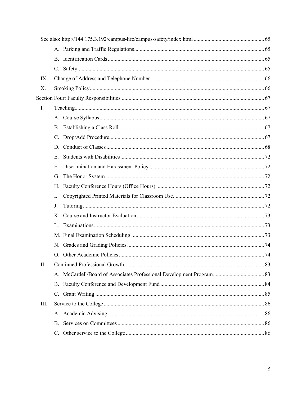| IX.            |              |  |
|----------------|--------------|--|
| X.             |              |  |
|                |              |  |
| $\mathbf{I}$ . |              |  |
|                |              |  |
|                |              |  |
|                |              |  |
|                |              |  |
|                | E.           |  |
|                | $F_{\rm{L}}$ |  |
|                | G.           |  |
|                |              |  |
|                | Ι.           |  |
|                | J.           |  |
|                |              |  |
|                |              |  |
|                |              |  |
|                |              |  |
|                |              |  |
| II.            |              |  |
|                |              |  |
|                |              |  |
|                |              |  |
| III.           |              |  |
|                |              |  |
|                |              |  |
|                |              |  |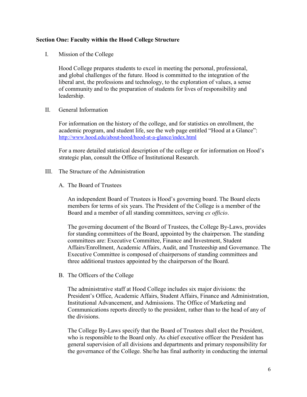# <span id="page-5-0"></span>**Section One: Faculty within the Hood College Structure**

<span id="page-5-1"></span>I. Mission of the College

Hood College prepares students to excel in meeting the personal, professional, and global challenges of the future. Hood is committed to the integration of the liberal arst, the professions and technology, to the exploration of values, a sense of community and to the preparation of students for lives of responsibility and leadership.

<span id="page-5-2"></span>II. General Information

For information on the history of the college, and for statistics on enrollment, the academic program, and student life, see the web page entitled "Hood at a Glance": <http://www.hood.edu/about-hood/hood-at-a-glance/index.html>

For a more detailed statistical description of the college or for information on Hood's strategic plan, consult the Office of Institutional Research.

- <span id="page-5-4"></span><span id="page-5-3"></span>III. The Structure of the Administration
	- A. The Board of Trustees

An independent Board of Trustees is Hood's governing board. The Board elects members for terms of six years. The President of the College is a member of the Board and a member of all standing committees, serving *ex officio*.

The governing document of the Board of Trustees, the College By-Laws, provides for standing committees of the Board, appointed by the chairperson. The standing committees are: Executive Committee, Finance and Investment, Student Affairs/Enrollment, Academic Affairs, Audit, and Trusteeship and Governance. The Executive Committee is composed of chairpersons of standing committees and three additional trustees appointed by the chairperson of the Board.

<span id="page-5-5"></span>B. The Officers of the College

The administrative staff at Hood College includes six major divisions: the President's Office, Academic Affairs, Student Affairs, Finance and Administration, Institutional Advancement, and Admissions. The Office of Marketing and Communications reports directly to the president, rather than to the head of any of the divisions.

The College By-Laws specify that the Board of Trustees shall elect the President, who is responsible to the Board only. As chief executive officer the President has general supervision of all divisions and departments and primary responsibility for the governance of the College. She/he has final authority in conducting the internal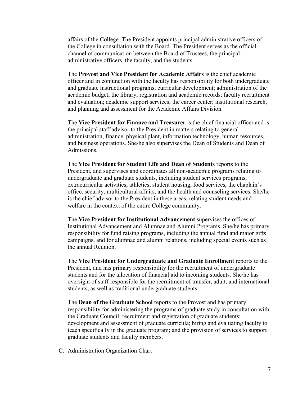affairs of the College. The President appoints principal administrative officers of the College in consultation with the Board. The President serves as the official channel of communication between the Board of Trustees, the principal administrative officers, the faculty, and the students.

The **Provost and Vice President for Academic Affairs** is the chief academic officer and in conjunction with the faculty has responsibility for both undergraduate and graduate instructional programs; curricular development; administration of the academic budget; the library; registration and academic records; faculty recruitment and evaluation; academic support services; the career center; institutional research, and planning and assessment for the Academic Affairs Division.

The **Vice President for Finance and Treasurer** is the chief financial officer and is the principal staff advisor to the President in matters relating to general administration, finance, physical plant, information technology, human resources, and business operations. She/he also supervises the Dean of Students and Dean of Admissions.

The **Vice President for Student Life and Dean of Students** reports to the President, and supervises and coordinates all non-academic programs relating to undergraduate and graduate students, including student services programs, extracurricular activities, athletics, student housing, food services, the chaplain's office, security, multicultural affairs, and the health and counseling services. She/he is the chief advisor to the President in these areas, relating student needs and welfare in the context of the entire College community.

The **Vice President for Institutional Advancement** supervises the offices of Institutional Advancement and Alumnae and Alumni Programs. She/he has primary responsibility for fund raising programs, including the annual fund and major gifts campaigns, and for alumnae and alumni relations, including special events such as the annual Reunion.

The **Vice President for Undergraduate and Graduate Enrollment** reports to the President, and has primary responsibility for the recruitment of undergraduate students and for the allocation of financial aid to incoming students. She/he has oversight of staff responsible for the recruitment of transfer, adult, and international students, as well as traditional undergraduate students.

The **Dean of the Graduate School** reports to the Provost and has primary responsibility for administering the programs of graduate study in consultation with the Graduate Council; recruitment and registration of graduate students; development and assessment of graduate curricula; hiring and evaluating faculty to teach specifically in the graduate program; and the provision of services to support graduate students and faculty members.

<span id="page-6-0"></span>C. Administration Organization Chart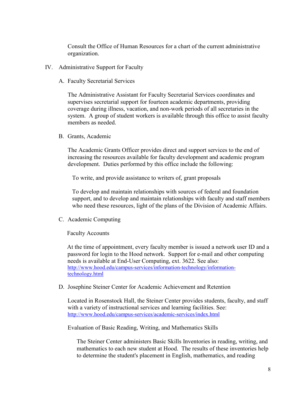Consult the Office of Human Resources for a chart of the current administrative organization.

- <span id="page-7-1"></span><span id="page-7-0"></span>IV. Administrative Support for Faculty
	- A. Faculty Secretarial Services

The Administrative Assistant for Faculty Secretarial Services coordinates and supervises secretarial support for fourteen academic departments, providing coverage during illness, vacation, and non-work periods of all secretaries in the system. A group of student workers is available through this office to assist faculty members as needed.

<span id="page-7-2"></span>B. Grants, Academic

The Academic Grants Officer provides direct and support services to the end of increasing the resources available for faculty development and academic program development. Duties performed by this office include the following:

To write, and provide assistance to writers of, grant proposals

To develop and maintain relationships with sources of federal and foundation support, and to develop and maintain relationships with faculty and staff members who need these resources, light of the plans of the Division of Academic Affairs.

<span id="page-7-3"></span>C. Academic Computing

Faculty Accounts

At the time of appointment, every faculty member is issued a network user ID and a password for login to the Hood network. Support for e-mail and other computing needs is available at End-User Computing, ext. 3622. See also: [http://www.hood.edu/campus-services/information-technology/information](http://www.hood.edu/campus-services/information-technology/information-technology.html)[technology.html](http://www.hood.edu/campus-services/information-technology/information-technology.html)

<span id="page-7-4"></span>D. Josephine Steiner Center for Academic Achievement and Retention

Located in Rosenstock Hall, the Steiner Center provides students, faculty, and staff with a variety of instructional services and learning facilities. See: <http://www.hood.edu/campus-services/academic-services/index.html>

Evaluation of Basic Reading, Writing, and Mathematics Skills

The Steiner Center administers Basic Skills Inventories in reading, writing, and mathematics to each new student at Hood. The results of these inventories help to determine the student's placement in English, mathematics, and reading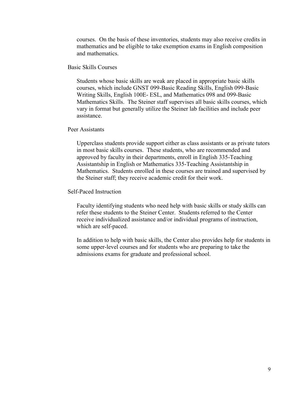courses. On the basis of these inventories, students may also receive credits in mathematics and be eligible to take exemption exams in English composition and mathematics.

# Basic Skills Courses

Students whose basic skills are weak are placed in appropriate basic skills courses, which include GNST 099-Basic Reading Skills, English 099-Basic Writing Skills, English 100E- ESL, and Mathematics 098 and 099-Basic Mathematics Skills. The Steiner staff supervises all basic skills courses, which vary in format but generally utilize the Steiner lab facilities and include peer assistance.

# Peer Assistants

Upperclass students provide support either as class assistants or as private tutors in most basic skills courses. These students, who are recommended and approved by faculty in their departments, enroll in English 335-Teaching Assistantship in English or Mathematics 335-Teaching Assistantship in Mathematics. Students enrolled in these courses are trained and supervised by the Steiner staff; they receive academic credit for their work.

#### Self-Paced Instruction

Faculty identifying students who need help with basic skills or study skills can refer these students to the Steiner Center. Students referred to the Center receive individualized assistance and/or individual programs of instruction, which are self-paced.

In addition to help with basic skills, the Center also provides help for students in some upper-level courses and for students who are preparing to take the admissions exams for graduate and professional school.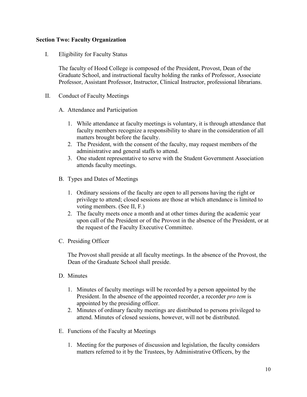# <span id="page-9-0"></span>**Section Two: Faculty Organization**

<span id="page-9-1"></span>I. Eligibility for Faculty Status

The faculty of Hood College is composed of the President, Provost, Dean of the Graduate School, and instructional faculty holding the ranks of Professor, Associate Professor, Assistant Professor, Instructor, Clinical Instructor, professional librarians.

<span id="page-9-3"></span><span id="page-9-2"></span>II. Conduct of Faculty Meetings

A. Attendance and Participation

- 1. While attendance at faculty meetings is voluntary, it is through attendance that faculty members recognize a responsibility to share in the consideration of all matters brought before the faculty.
- 2. The President, with the consent of the faculty, may request members of the administrative and general staffs to attend.
- 3. One student representative to serve with the Student Government Association attends faculty meetings.
- <span id="page-9-4"></span>B. Types and Dates of Meetings
	- 1. Ordinary sessions of the faculty are open to all persons having the right or privilege to attend; closed sessions are those at which attendance is limited to voting members. (See II, F.)
	- 2. The faculty meets once a month and at other times during the academic year upon call of the President or of the Provost in the absence of the President, or at the request of the Faculty Executive Committee.
- <span id="page-9-5"></span>C. Presiding Officer

The Provost shall preside at all faculty meetings. In the absence of the Provost, the Dean of the Graduate School shall preside.

- <span id="page-9-6"></span>D. Minutes
	- 1. Minutes of faculty meetings will be recorded by a person appointed by the President. In the absence of the appointed recorder, a recorder *pro tem* is appointed by the presiding officer.
	- 2. Minutes of ordinary faculty meetings are distributed to persons privileged to attend. Minutes of closed sessions, however, will not be distributed.
- <span id="page-9-7"></span>E. Functions of the Faculty at Meetings
	- 1. Meeting for the purposes of discussion and legislation, the faculty considers matters referred to it by the Trustees, by Administrative Officers, by the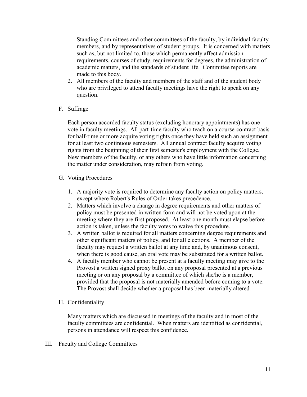Standing Committees and other committees of the faculty, by individual faculty members, and by representatives of student groups. It is concerned with matters such as, but not limited to, those which permanently affect admission requirements, courses of study, requirements for degrees, the administration of academic matters, and the standards of student life. Committee reports are made to this body.

- 2. All members of the faculty and members of the staff and of the student body who are privileged to attend faculty meetings have the right to speak on any question.
- <span id="page-10-0"></span>F. Suffrage

Each person accorded faculty status (excluding honorary appointments) has one vote in faculty meetings. All part-time faculty who teach on a course-contract basis for half-time or more acquire voting rights once they have held such an assignment for at least two continuous semesters. All annual contract faculty acquire voting rights from the beginning of their first semester's employment with the College. New members of the faculty, or any others who have little information concerning the matter under consideration, may refrain from voting.

- <span id="page-10-1"></span>G. Voting Procedures
	- 1. A majority vote is required to determine any faculty action on policy matters, except where Robert's Rules of Order takes precedence.
	- 2. Matters which involve a change in degree requirements and other matters of policy must be presented in written form and will not be voted upon at the meeting where they are first proposed. At least one month must elapse before action is taken, unless the faculty votes to waive this procedure.
	- 3. A written ballot is required for all matters concerning degree requirements and other significant matters of policy, and for all elections. A member of the faculty may request a written ballot at any time and, by unanimous consent, when there is good cause, an oral vote may be substituted for a written ballot.
	- 4. A faculty member who cannot be present at a faculty meeting may give to the Provost a written signed proxy ballot on any proposal presented at a previous meeting or on any proposal by a committee of which she/he is a member, provided that the proposal is not materially amended before coming to a vote. The Provost shall decide whether a proposal has been materially altered.
- <span id="page-10-2"></span>H. Confidentiality

Many matters which are discussed in meetings of the faculty and in most of the faculty committees are confidential. When matters are identified as confidential, persons in attendance will respect this confidence.

<span id="page-10-3"></span>III. Faculty and College Committees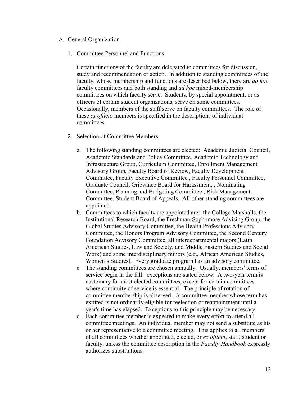# <span id="page-11-0"></span>A. General Organization

1. Committee Personnel and Functions

Certain functions of the faculty are delegated to committees for discussion, study and recommendation or action. In addition to standing committees of the faculty, whose membership and functions are described below, there are *ad hoc*  faculty committees and both standing and *ad hoc* mixed-membership committees on which faculty serve. Students, by special appointment, or as officers of certain student organizations, serve on some committees. Occasionally, members of the staff serve on faculty committees. The role of these *ex officio* members is specified in the descriptions of individual committees.

- 2. Selection of Committee Members
	- a. The following standing committees are elected: Academic Judicial Council, Academic Standards and Policy Committee, Academic Technology and Infrastructure Group, Curriculum Committee, Enrollment Management Advisory Group, Faculty Board of Review, Faculty Development Committee, Faculty Executive Committee , Faculty Personnel Committee, Graduate Council, Grievance Board for Harassment, , Nominating Committee, Planning and Budgeting Committee , Risk Management Committee, Student Board of Appeals. All other standing committees are appointed.
	- b. Committees to which faculty are appointed are: the College Marshalls, the Institutional Research Board, the Freshman-Sophomore Advising Group, the Global Studies Advisory Committee, the Health Professions Advisory Committee, the Honors Program Advisory Committee, the Second Century Foundation Advisory Committee, all interdepartmental majors (Latin American Studies, Law and Society, and Middle Eastern Studies and Social Work) and some interdisciplinary minors (e.g., African American Studies, Women's Studies). Every graduate program has an advisory committee.
	- c. The standing committees are chosen annually. Usually, members' terms of service begin in the fall: exceptions are stated below. A two-year term is customary for most elected committees, except for certain committees where continuity of service is essential. The principle of rotation of committee membership is observed. A committee member whose term has expired is not ordinarily eligible for reelection or reappointment until a year's time has elapsed. Exceptions to this principle may be necessary.
	- d. Each committee member is expected to make every effort to attend all committee meetings. An individual member may not send a substitute as his or her representative to a committee meeting. This applies to all members of all committees whether appointed, elected, or *ex officio*, staff, student or faculty, unless the committee description in the *Faculty Handbook* expressly authorizes substitutions.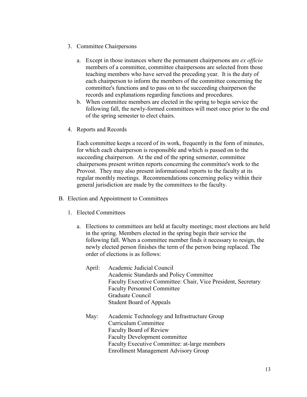- 3. Committee Chairpersons
	- a. Except in those instances where the permanent chairpersons are *ex officio* members of a committee, committee chairpersons are selected from those teaching members who have served the preceding year. It is the duty of each chairperson to inform the members of the committee concerning the committee's functions and to pass on to the succeeding chairperson the records and explanations regarding functions and procedures.
	- b. When committee members are elected in the spring to begin service the following fall, the newly-formed committees will meet once prior to the end of the spring semester to elect chairs.
- 4. Reports and Records

Each committee keeps a record of its work, frequently in the form of minutes, for which each chairperson is responsible and which is passed on to the succeeding chairperson. At the end of the spring semester, committee chairpersons present written reports concerning the committee's work to the Provost. They may also present informational reports to the faculty at its regular monthly meetings. Recommendations concerning policy within their general jurisdiction are made by the committees to the faculty.

- <span id="page-12-0"></span>B. Election and Appointment to Committees
	- 1. Elected Committees
		- a. Elections to committees are held at faculty meetings; most elections are held in the spring. Members elected in the spring begin their service the following fall. When a committee member finds it necessary to resign, the newly elected person finishes the term of the person being replaced. The order of elections is as follows:
			- April: Academic Judicial Council Academic Standards and Policy Committee Faculty Executive Committee: Chair, Vice President, Secretary Faculty Personnel Committee Graduate Council Student Board of Appeals
			- May: Academic Technology and Infrastructure Group Curriculum Committee Faculty Board of Review Faculty Development committee Faculty Executive Committee: at-large members Enrollment Management Advisory Group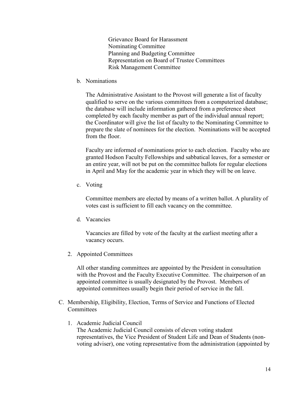Grievance Board for Harassment Nominating Committee Planning and Budgeting Committee Representation on Board of Trustee Committees Risk Management Committee

b. Nominations

The Administrative Assistant to the Provost will generate a list of faculty qualified to serve on the various committees from a computerized database; the database will include information gathered from a preference sheet completed by each faculty member as part of the individual annual report; the Coordinator will give the list of faculty to the Nominating Committee to prepare the slate of nominees for the election. Nominations will be accepted from the floor.

Faculty are informed of nominations prior to each election. Faculty who are granted Hodson Faculty Fellowships and sabbatical leaves, for a semester or an entire year, will not be put on the committee ballots for regular elections in April and May for the academic year in which they will be on leave.

c. Voting

Committee members are elected by means of a written ballot. A plurality of votes cast is sufficient to fill each vacancy on the committee.

d. Vacancies

Vacancies are filled by vote of the faculty at the earliest meeting after a vacancy occurs.

2. Appointed Committees

All other standing committees are appointed by the President in consultation with the Provost and the Faculty Executive Committee. The chairperson of an appointed committee is usually designated by the Provost. Members of appointed committees usually begin their period of service in the fall.

- <span id="page-13-0"></span>C. Membership, Eligibility, Election, Terms of Service and Functions of Elected **Committees** 
	- 1. Academic Judicial Council The Academic Judicial Council consists of eleven voting student representatives, the Vice President of Student Life and Dean of Students (nonvoting adviser), one voting representative from the administration (appointed by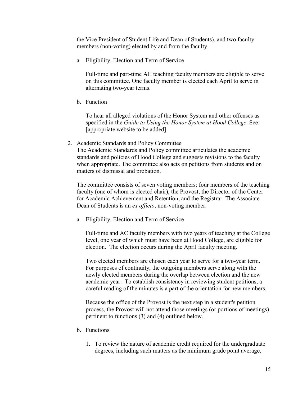the Vice President of Student Life and Dean of Students), and two faculty members (non-voting) elected by and from the faculty.

a. Eligibility, Election and Term of Service

Full-time and part-time AC teaching faculty members are eligible to serve on this committee. One faculty member is elected each April to serve in alternating two-year terms.

b. Function

To hear all alleged violations of the Honor System and other offenses as specified in the *Guide to Using the Honor System at Hood College*. See: [appropriate website to be added]

2. Academic Standards and Policy Committee

The Academic Standards and Policy committee articulates the academic standards and policies of Hood College and suggests revisions to the faculty when appropriate. The committee also acts on petitions from students and on matters of dismissal and probation.

The committee consists of seven voting members: four members of the teaching faculty (one of whom is elected chair), the Provost, the Director of the Center for Academic Achievement and Retention, and the Registrar. The Associate Dean of Students is an *ex officio*, non-voting member.

a. Eligibility, Election and Term of Service

Full-time and AC faculty members with two years of teaching at the College level, one year of which must have been at Hood College, are eligible for election. The election occurs during the April faculty meeting.

Two elected members are chosen each year to serve for a two-year term. For purposes of continuity, the outgoing members serve along with the newly elected members during the overlap between election and the new academic year. To establish consistency in reviewing student petitions, a careful reading of the minutes is a part of the orientation for new members.

Because the office of the Provost is the next step in a student's petition process, the Provost will not attend those meetings (or portions of meetings) pertinent to functions (3) and (4) outlined below.

- b. Functions
	- 1. To review the nature of academic credit required for the undergraduate degrees, including such matters as the minimum grade point average,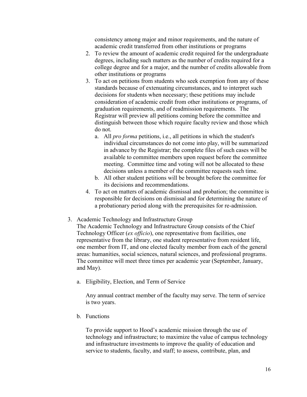consistency among major and minor requirements, and the nature of academic credit transferred from other institutions or programs

- 2. To review the amount of academic credit required for the undergraduate degrees, including such matters as the number of credits required for a college degree and for a major, and the number of credits allowable from other institutions or programs
- 3. To act on petitions from students who seek exemption from any of these standards because of extenuating circumstances, and to interpret such decisions for students when necessary; these petitions may include consideration of academic credit from other institutions or programs, of graduation requirements, and of readmission requirements. The Registrar will preview all petitions coming before the committee and distinguish between those which require faculty review and those which do not.
	- a. All *pro forma* petitions, i.e., all petitions in which the student's individual circumstances do not come into play, will be summarized in advance by the Registrar; the complete files of such cases will be available to committee members upon request before the committee meeting. Committee time and voting will not be allocated to these decisions unless a member of the committee requests such time.
	- b. All other student petitions will be brought before the committee for its decisions and recommendations.
- 4. To act on matters of academic dismissal and probation; the committee is responsible for decisions on dismissal and for determining the nature of a probationary period along with the prerequisites for re-admission.
- 3. Academic Technology and Infrastructure Group

The Academic Technology and Infrastructure Group consists of the Chief Technology Officer (*ex officio*), one representative from facilities, one representative from the library, one student representative from resident life, one member from IT, and one elected faculty member from each of the general areas: humanities, social sciences, natural sciences, and professional programs. The committee will meet three times per academic year (September, January, and May).

a. Eligibility, Election, and Term of Service

Any annual contract member of the faculty may serve. The term of service is two years.

b. Functions

To provide support to Hood's academic mission through the use of technology and infrastructure; to maximize the value of campus technology and infrastructure investments to improve the quality of education and service to students, faculty, and staff; to assess, contribute, plan, and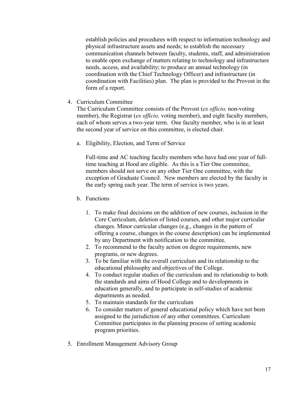establish policies and procedures with respect to information technology and physical infrastructure assets and needs; to establish the necessary communication channels between faculty, students, staff, and administration to enable open exchange of matters relating to technology and infrastructure needs, access, and availability; to produce an annual technology (in coordination with the Chief Technology Officer) and infrastructure (in coordination with Facilities) plan. The plan is provided to the Provost in the form of a report.

4. Curriculum Committee

The Curriculum Committee consists of the Provost (*ex officio,* non-voting member), the Registrar (*ex officio,* voting member), and eight faculty members, each of whom serves a two-year term. One faculty member, who is in at least the second year of service on this committee, is elected chair.

a. Eligibility, Election, and Term of Service

Full-time and AC teaching faculty members who have had one year of fulltime teaching at Hood are eligible. As this is a Tier One committee, members should not serve on any other Tier One committee, with the exception of Graduate Council. New members are elected by the faculty in the early spring each year. The term of service is two years.

- b. Functions
	- 1. To make final decisions on the addition of new courses, inclusion in the Core Curriculum, deletion of listed courses, and other major curricular changes. Minor curricular changes (e.g., changes in the pattern of offering a course, changes in the course description) can be implemented by any Department with notification to the committee.
	- 2. To recommend to the faculty action on degree requirements, new programs, or new degrees.
	- 3. To be familiar with the overall curriculum and its relationship to the educational philosophy and objectives of the College.
	- 4. To conduct regular studies of the curriculum and its relationship to both the standards and aims of Hood College and to developments in education generally, and to participate in self-studies of academic departments as needed.
	- 5. To maintain standards for the curriculum
	- 6. To consider matters of general educational policy which have not been assigned to the jurisdiction of any other committees. Curriculum Committee participates in the planning process of setting academic program priorities.
- 5. Enrollment Management Advisory Group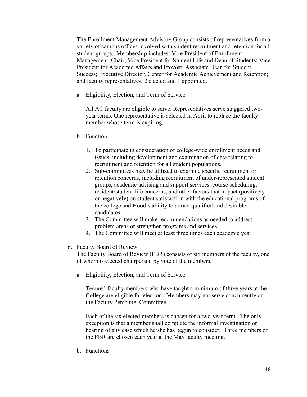The Enrollment Management Advisory Group consists of representatives from a variety of campus offices involved with student recruitment and retention for all student groups. Membership includes: Vice President of Enrollment Management, Chair; Vice President for Student Life and Dean of Students; Vice President for Academic Affairs and Provost; Associate Dean for Student Success; Executive Director, Center for Academic Achievement and Retention; and faculty representatives, 2 elected and 1 appointed.

a. Eligibility, Election, and Term of Service

All AC faculty are eligible to serve. Representatives serve staggered twoyear terms. One representative is selected in April to replace the faculty member whose term is expiring.

- b. Function
	- 1. To participate in consideration of college-wide enrollment needs and issues, including development and examination of data relating to recruitment and retention for all student populations.
	- 2. Sub-committees may be utilized to examine specific recruitment or retention concerns, including recruitment of under-represented student groups, academic advising and support services, course scheduling, resident/student-life concerns, and other factors that impact (positively or negatively) on student satisfaction with the educational programs of the college and Hood's ability to attract qualified and desirable candidates.
	- 3. The Committee will make recommendations as needed to address problem areas or strengthen programs and services.
	- 4. The Committee will meet at least three times each academic year.
- 6. Faculty Board of Review

The Faculty Board of Review (FBR) consists of six members of the faculty, one of whom is elected chairperson by vote of the members.

a. Eligibility, Election, and Term of Service

Tenured faculty members who have taught a minimum of three years at the College are eligible for election. Members may not serve concurrently on the Faculty Personnel Committee.

Each of the six elected members is chosen for a two-year term. The only exception is that a member shall complete the informal investigation or hearing of any case which he/she has begun to consider. Three members of the FBR are chosen each year at the May faculty meeting.

b. Functions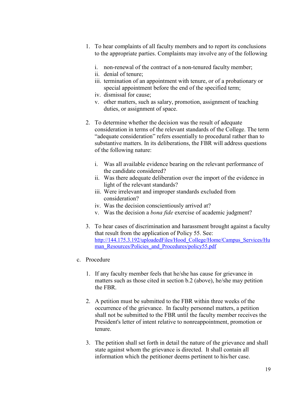- 1. To hear complaints of all faculty members and to report its conclusions to the appropriate parties. Complaints may involve any of the following
	- i. non-renewal of the contract of a non-tenured faculty member;
	- ii. denial of tenure;
	- iii. termination of an appointment with tenure, or of a probationary or special appointment before the end of the specified term;
	- iv. dismissal for cause;
	- v. other matters, such as salary, promotion, assignment of teaching duties, or assignment of space.
- 2. To determine whether the decision was the result of adequate consideration in terms of the relevant standards of the College. The term "adequate consideration" refers essentially to procedural rather than to substantive matters. In its deliberations, the FBR will address questions of the following nature:
	- i. Was all available evidence bearing on the relevant performance of the candidate considered?
	- ii. Was there adequate deliberation over the import of the evidence in light of the relevant standards?
	- iii. Were irrelevant and improper standards excluded from consideration?
	- iv. Was the decision conscientiously arrived at?
	- v. Was the decision a *bona fide* exercise of academic judgment?
- 3. To hear cases of discrimination and harassment brought against a faculty that result from the application of Policy 55. See: [http://144.175.3.192/uploadedFiles/Hood\\_College/Home/Campus\\_Services/Hu](http://144.175.3.192/uploadedFiles/Hood_College/Home/Campus_Services/Human_Resources/Policies_and_Procedures/policy55.pdf) [man\\_Resources/Policies\\_and\\_Procedures/policy55.pdf](http://144.175.3.192/uploadedFiles/Hood_College/Home/Campus_Services/Human_Resources/Policies_and_Procedures/policy55.pdf)
- c. Procedure
	- 1. If any faculty member feels that he/she has cause for grievance in matters such as those cited in section b.2 (above), he/she may petition the FBR.
	- 2. A petition must be submitted to the FBR within three weeks of the occurrence of the grievance. In faculty personnel matters, a petition shall not be submitted to the FBR until the faculty member receives the President's letter of intent relative to nonreappointment, promotion or tenure.
	- 3. The petition shall set forth in detail the nature of the grievance and shall state against whom the grievance is directed. It shall contain all information which the petitioner deems pertinent to his/her case.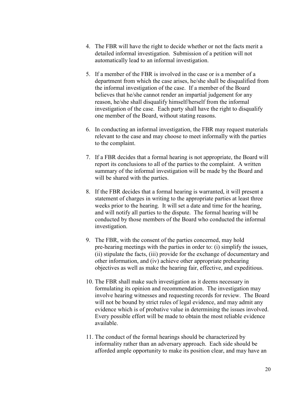- 4. The FBR will have the right to decide whether or not the facts merit a detailed informal investigation. Submission of a petition will not automatically lead to an informal investigation.
- 5. If a member of the FBR is involved in the case or is a member of a department from which the case arises, he/she shall be disqualified from the informal investigation of the case. If a member of the Board believes that he/she cannot render an impartial judgement for any reason, he/she shall disqualify himself/herself from the informal investigation of the case. Each party shall have the right to disqualify one member of the Board, without stating reasons.
- 6. In conducting an informal investigation, the FBR may request materials relevant to the case and may choose to meet informally with the parties to the complaint.
- 7. If a FBR decides that a formal hearing is not appropriate, the Board will report its conclusions to all of the parties to the complaint. A written summary of the informal investigation will be made by the Board and will be shared with the parties.
- 8. If the FBR decides that a formal hearing is warranted, it will present a statement of charges in writing to the appropriate parties at least three weeks prior to the hearing. It will set a date and time for the hearing, and will notify all parties to the dispute. The formal hearing will be conducted by those members of the Board who conducted the informal investigation.
- 9. The FBR, with the consent of the parties concerned, may hold pre-hearing meetings with the parties in order to: (i) simplify the issues, (ii) stipulate the facts, (iii) provide for the exchange of documentary and other information, and (iv) achieve other appropriate prehearing objectives as well as make the hearing fair, effective, and expeditious.
- 10. The FBR shall make such investigation as it deems necessary in formulating its opinion and recommendation. The investigation may involve hearing witnesses and requesting records for review. The Board will not be bound by strict rules of legal evidence, and may admit any evidence which is of probative value in determining the issues involved. Every possible effort will be made to obtain the most reliable evidence available.
- 11. The conduct of the formal hearings should be characterized by informality rather than an adversary approach. Each side should be afforded ample opportunity to make its position clear, and may have an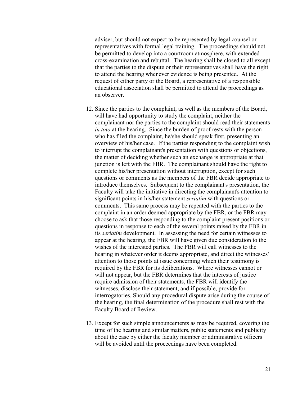adviser, but should not expect to be represented by legal counsel or representatives with formal legal training. The proceedings should not be permitted to develop into a courtroom atmosphere, with extended cross-examination and rebuttal. The hearing shall be closed to all except that the parties to the dispute or their representatives shall have the right to attend the hearing whenever evidence is being presented. At the request of either party or the Board, a representative of a responsible educational association shall be permitted to attend the proceedings as an observer.

- 12. Since the parties to the complaint, as well as the members of the Board, will have had opportunity to study the complaint, neither the complainant nor the parties to the complaint should read their statements *in toto* at the hearing. Since the burden of proof rests with the person who has filed the complaint, he/she should speak first, presenting an overview of his/her case. If the parties responding to the complaint wish to interrupt the complainant's presentation with questions or objections, the matter of deciding whether such an exchange is appropriate at that junction is left with the FBR. The complainant should have the right to complete his/her presentation without interruption, except for such questions or comments as the members of the FBR decide appropriate to introduce themselves. Subsequent to the complainant's presentation, the Faculty will take the initiative in directing the complainant's attention to significant points in his/her statement *seriatim* with questions or comments. This same process may be repeated with the parties to the complaint in an order deemed appropriate by the FBR, or the FBR may choose to ask that those responding to the complaint present positions or questions in response to each of the several points raised by the FBR in its *seriatim* development. In assessing the need for certain witnesses to appear at the hearing, the FBR will have given due consideration to the wishes of the interested parties. The FBR will call witnesses to the hearing in whatever order it deems appropriate, and direct the witnesses' attention to those points at issue concerning which their testimony is required by the FBR for its deliberations. Where witnesses cannot or will not appear, but the FBR determines that the interests of justice require admission of their statements, the FBR will identify the witnesses, disclose their statement, and if possible, provide for interrogatories. Should any procedural dispute arise during the course of the hearing, the final determination of the procedure shall rest with the Faculty Board of Review.
- 13. Except for such simple announcements as may be required, covering the time of the hearing and similar matters, public statements and publicity about the case by either the faculty member or administrative officers will be avoided until the proceedings have been completed.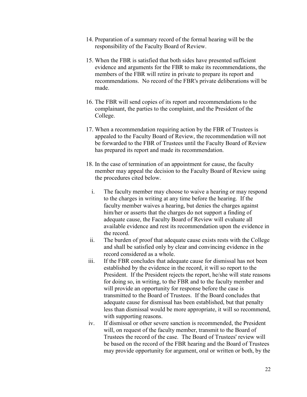- 14. Preparation of a summary record of the formal hearing will be the responsibility of the Faculty Board of Review.
- 15. When the FBR is satisfied that both sides have presented sufficient evidence and arguments for the FBR to make its recommendations, the members of the FBR will retire in private to prepare its report and recommendations. No record of the FBR's private deliberations will be made.
- 16. The FBR will send copies of its report and recommendations to the complainant, the parties to the complaint, and the President of the College.
- 17. When a recommendation requiring action by the FBR of Trustees is appealed to the Faculty Board of Review, the recommendation will not be forwarded to the FBR of Trustees until the Faculty Board of Review has prepared its report and made its recommendation.
- 18. In the case of termination of an appointment for cause, the faculty member may appeal the decision to the Faculty Board of Review using the procedures cited below.
	- i. The faculty member may choose to waive a hearing or may respond to the charges in writing at any time before the hearing. If the faculty member waives a hearing, but denies the charges against him/her or asserts that the charges do not support a finding of adequate cause, the Faculty Board of Review will evaluate all available evidence and rest its recommendation upon the evidence in the record.
	- ii. The burden of proof that adequate cause exists rests with the College and shall be satisfied only by clear and convincing evidence in the record considered as a whole.
- iii. If the FBR concludes that adequate cause for dismissal has not been established by the evidence in the record, it will so report to the President. If the President rejects the report, he/she will state reasons for doing so, in writing, to the FBR and to the faculty member and will provide an opportunity for response before the case is transmitted to the Board of Trustees. If the Board concludes that adequate cause for dismissal has been established, but that penalty less than dismissal would be more appropriate, it will so recommend, with supporting reasons.
- iv. If dismissal or other severe sanction is recommended, the President will, on request of the faculty member, transmit to the Board of Trustees the record of the case. The Board of Trustees' review will be based on the record of the FBR hearing and the Board of Trustees may provide opportunity for argument, oral or written or both, by the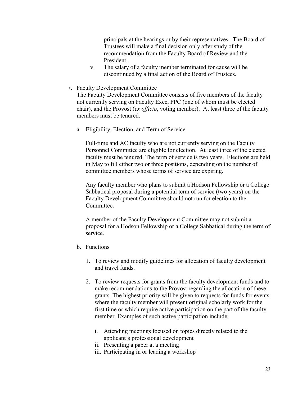principals at the hearings or by their representatives. The Board of Trustees will make a final decision only after study of the recommendation from the Faculty Board of Review and the President.

- v. The salary of a faculty member terminated for cause will be discontinued by a final action of the Board of Trustees.
- 7. Faculty Development Committee

The Faculty Development Committee consists of five members of the faculty not currently serving on Faculty Exec, FPC (one of whom must be elected chair), and the Provost (*ex officio*, voting member). At least three of the faculty members must be tenured.

a. Eligibility, Election, and Term of Service

Full-time and AC faculty who are not currently serving on the Faculty Personnel Committee are eligible for election. At least three of the elected faculty must be tenured. The term of service is two years. Elections are held in May to fill either two or three positions, depending on the number of committee members whose terms of service are expiring.

Any faculty member who plans to submit a Hodson Fellowship or a College Sabbatical proposal during a potential term of service (two years) on the Faculty Development Committee should not run for election to the Committee.

A member of the Faculty Development Committee may not submit a proposal for a Hodson Fellowship or a College Sabbatical during the term of service.

- b. Functions
	- 1. To review and modify guidelines for allocation of faculty development and travel funds.
	- 2. To review requests for grants from the faculty development funds and to make recommendations to the Provost regarding the allocation of these grants. The highest priority will be given to requests for funds for events where the faculty member will present original scholarly work for the first time or which require active participation on the part of the faculty member. Examples of such active participation include:
		- i. Attending meetings focused on topics directly related to the applicant's professional development
		- ii. Presenting a paper at a meeting
		- iii. Participating in or leading a workshop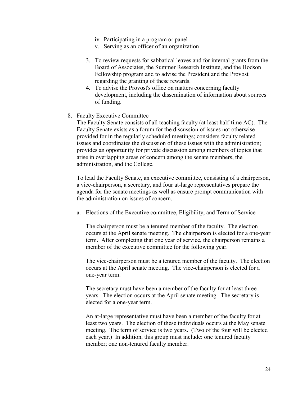- iv. Participating in a program or panel
- v. Serving as an officer of an organization
- 3. To review requests for sabbatical leaves and for internal grants from the Board of Associates, the Summer Research Institute, and the Hodson Fellowship program and to advise the President and the Provost regarding the granting of these rewards.
- 4. To advise the Provost's office on matters concerning faculty development, including the dissemination of information about sources of funding.
- 8. Faculty Executive Committee

The Faculty Senate consists of all teaching faculty (at least half-time AC). The Faculty Senate exists as a forum for the discussion of issues not otherwise provided for in the regularly scheduled meetings; considers faculty related issues and coordinates the discussion of these issues with the administration; provides an opportunity for private discussion among members of topics that arise in overlapping areas of concern among the senate members, the administration, and the College.

To lead the Faculty Senate, an executive committee, consisting of a chairperson, a vice-chairperson, a secretary, and four at-large representatives prepare the agenda for the senate meetings as well as ensure prompt communication with the administration on issues of concern.

a. Elections of the Executive committee, Eligibility, and Term of Service

The chairperson must be a tenured member of the faculty. The election occurs at the April senate meeting. The chairperson is elected for a one-year term. After completing that one year of service, the chairperson remains a member of the executive committee for the following year.

The vice-chairperson must be a tenured member of the faculty. The election occurs at the April senate meeting. The vice-chairperson is elected for a one-year term.

The secretary must have been a member of the faculty for at least three years. The election occurs at the April senate meeting. The secretary is elected for a one-year term.

An at-large representative must have been a member of the faculty for at least two years. The election of these individuals occurs at the May senate meeting. The term of service is two years. (Two of the four will be elected each year.) In addition, this group must include: one tenured faculty member; one non-tenured faculty member.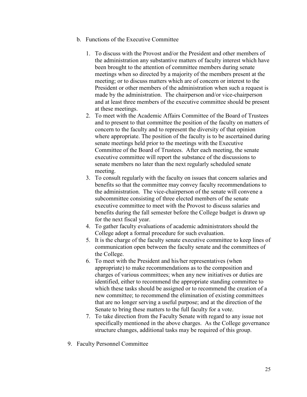- b. Functions of the Executive Committee
	- 1. To discuss with the Provost and/or the President and other members of the administration any substantive matters of faculty interest which have been brought to the attention of committee members during senate meetings when so directed by a majority of the members present at the meeting; or to discuss matters which are of concern or interest to the President or other members of the administration when such a request is made by the administration. The chairperson and/or vice-chairperson and at least three members of the executive committee should be present at these meetings.
	- 2. To meet with the Academic Affairs Committee of the Board of Trustees and to present to that committee the position of the faculty on matters of concern to the faculty and to represent the diversity of that opinion where appropriate. The position of the faculty is to be ascertained during senate meetings held prior to the meetings with the Executive Committee of the Board of Trustees. After each meeting, the senate executive committee will report the substance of the discussions to senate members no later than the next regularly scheduled senate meeting.
	- 3. To consult regularly with the faculty on issues that concern salaries and benefits so that the committee may convey faculty recommendations to the administration. The vice-chairperson of the senate will convene a subcommittee consisting of three elected members of the senate executive committee to meet with the Provost to discuss salaries and benefits during the fall semester before the College budget is drawn up for the next fiscal year.
	- 4. To gather faculty evaluations of academic administrators should the College adopt a formal procedure for such evaluation.
	- 5. It is the charge of the faculty senate executive committee to keep lines of communication open between the faculty senate and the committees of the College.
	- 6. To meet with the President and his/her representatives (when appropriate) to make recommendations as to the composition and charges of various committees; when any new initiatives or duties are identified, either to recommend the appropriate standing committee to which these tasks should be assigned or to recommend the creation of a new committee; to recommend the elimination of existing committees that are no longer serving a useful purpose; and at the direction of the Senate to bring these matters to the full faculty for a vote.
	- 7. To take direction from the Faculty Senate with regard to any issue not specifically mentioned in the above charges. As the College governance structure changes, additional tasks may be required of this group.
- 9. Faculty Personnel Committee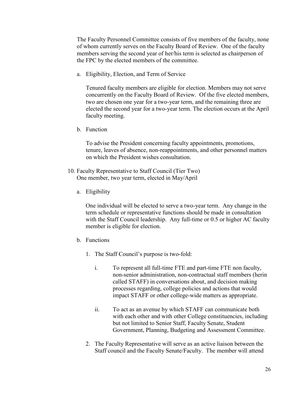The Faculty Personnel Committee consists of five members of the faculty, none of whom currently serves on the Faculty Board of Review. One of the faculty members serving the second year of her/his term is selected as chairperson of the FPC by the elected members of the committee.

a. Eligibility, Election, and Term of Service

Tenured faculty members are eligible for election. Members may not serve concurrently on the Faculty Board of Review. Of the five elected members, two are chosen one year for a two-year term, and the remaining three are elected the second year for a two-year term. The election occurs at the April faculty meeting.

b. Function

To advise the President concerning faculty appointments, promotions, tenure, leaves of absence, non-reappointments, and other personnel matters on which the President wishes consultation.

- 10. Faculty Representative to Staff Council (Tier Two) One member, two year term, elected in May/April
	- a. Eligibility

One individual will be elected to serve a two-year term. Any change in the term schedule or representative functions should be made in consultation with the Staff Council leadership. Any full-time or 0.5 or higher AC faculty member is eligible for election.

- b. Functions
	- 1. The Staff Council's purpose is two-fold:
		- i. To represent all full-time FTE and part-time FTE non faculty, non-senior administration, non-contractual staff members (herin called STAFF) in conversations about, and decision making processes regarding, college policies and actions that would impact STAFF or other college-wide matters as appropriate.
		- ii. To act as an avenue by which STAFF can communicate both with each other and with other College constituencies, including but not limited to Senior Staff, Faculty Senate, Student Government, Planning, Budgeting and Assessment Committee.
	- 2. The Faculty Representative will serve as an active liaison between the Staff council and the Faculty Senate/Faculty. The member will attend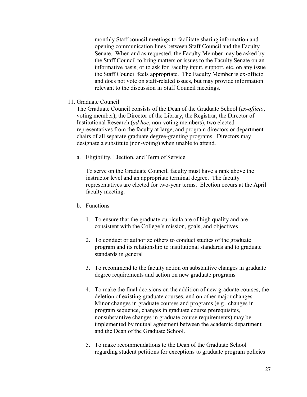monthly Staff council meetings to facilitate sharing information and opening communication lines between Staff Council and the Faculty Senate. When and as requested, the Faculty Member may be asked by the Staff Council to bring matters or issues to the Faculty Senate on an informative basis, or to ask for Faculty input, support, etc. on any issue the Staff Council feels appropriate. The Faculty Member is ex-officio and does not vote on staff-related issues, but may provide information relevant to the discussion in Staff Council meetings.

# 11. Graduate Council

The Graduate Council consists of the Dean of the Graduate School (*ex-officio*, voting member), the Director of the Library, the Registrar, the Director of Institutional Research (*ad hoc*, non-voting members), two elected representatives from the faculty at large, and program directors or department chairs of all separate graduate degree-granting programs. Directors may designate a substitute (non-voting) when unable to attend.

a. Eligibility, Election, and Term of Service

To serve on the Graduate Council, faculty must have a rank above the instructor level and an appropriate terminal degree. The faculty representatives are elected for two-year terms. Election occurs at the April faculty meeting.

# b. Functions

- 1. To ensure that the graduate curricula are of high quality and are consistent with the College's mission, goals, and objectives
- 2. To conduct or authorize others to conduct studies of the graduate program and its relationship to institutional standards and to graduate standards in general
- 3. To recommend to the faculty action on substantive changes in graduate degree requirements and action on new graduate programs
- 4. To make the final decisions on the addition of new graduate courses, the deletion of existing graduate courses, and on other major changes. Minor changes in graduate courses and programs (e.g., changes in program sequence, changes in graduate course prerequisites, nonsubstantive changes in graduate course requirements) may be implemented by mutual agreement between the academic department and the Dean of the Graduate School.
- 5. To make recommendations to the Dean of the Graduate School regarding student petitions for exceptions to graduate program policies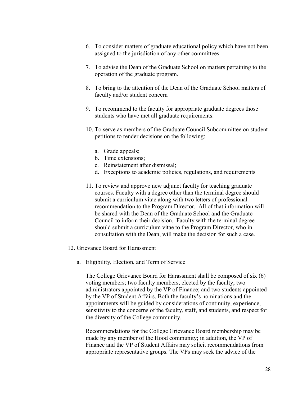- 6. To consider matters of graduate educational policy which have not been assigned to the jurisdiction of any other committees.
- 7. To advise the Dean of the Graduate School on matters pertaining to the operation of the graduate program.
- 8. To bring to the attention of the Dean of the Graduate School matters of faculty and/or student concern
- 9. To recommend to the faculty for appropriate graduate degrees those students who have met all graduate requirements.
- 10. To serve as members of the Graduate Council Subcommittee on student petitions to render decisions on the following:
	- a. Grade appeals;
	- b. Time extensions;
	- c. Reinstatement after dismissal;
	- d. Exceptions to academic policies, regulations, and requirements
- 11. To review and approve new adjunct faculty for teaching graduate courses. Faculty with a degree other than the terminal degree should submit a curriculum vitae along with two letters of professional recommendation to the Program Director. All of that information will be shared with the Dean of the Graduate School and the Graduate Council to inform their decision. Faculty with the terminal degree should submit a curriculum vitae to the Program Director, who in consultation with the Dean, will make the decision for such a case.
- 12. Grievance Board for Harassment
	- a. Eligibility, Election, and Term of Service

The College Grievance Board for Harassment shall be composed of six (6) voting members; two faculty members, elected by the faculty; two administrators appointed by the VP of Finance; and two students appointed by the VP of Student Affairs. Both the faculty's nominations and the appointments will be guided by considerations of continuity, experience, sensitivity to the concerns of the faculty, staff, and students, and respect for the diversity of the College community.

Recommendations for the College Grievance Board membership may be made by any member of the Hood community; in addition, the VP of Finance and the VP of Student Affairs may solicit recommendations from appropriate representative groups. The VPs may seek the advice of the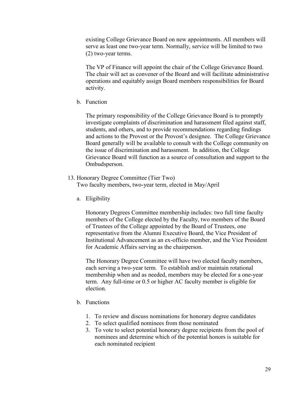existing College Grievance Board on new appointments. All members will serve as least one two-year term. Normally, service will be limited to two (2) two-year terms.

The VP of Finance will appoint the chair of the College Grievance Board. The chair will act as convener of the Board and will facilitate administrative operations and equitably assign Board members responsibilities for Board activity.

b. Function

The primary responsibility of the College Grievance Board is to promptly investigate complaints of discrimination and harassment filed against staff, students, and others, and to provide recommendations regarding findings and actions to the Provost or the Provost's designee. The College Grievance Board generally will be available to consult with the College community on the issue of discrimination and harassment. In addition, the College Grievance Board will function as a source of consultation and support to the Ombudsperson.

13. Honorary Degree Committee (Tier Two)

Two faculty members, two-year term, elected in May/April

a. Eligibility

Honorary Degrees Committee membership includes: two full time faculty members of the College elected by the Faculty, two members of the Board of Trustees of the College appointed by the Board of Trustees, one representative from the Alumni Executive Board, the Vice President of Institutional Advancement as an ex-officio member, and the Vice President for Academic Affairs serving as the chairperson.

The Honorary Degree Committee will have two elected faculty members, each serving a two-year term. To establish and/or maintain rotational membership when and as needed, members may be elected for a one-year term. Any full-time or 0.5 or higher AC faculty member is eligible for election.

- b. Functions
	- 1. To review and discuss nominations for honorary degree candidates
	- 2. To select qualified nominees from those nominated
	- 3. To vote to select potential honorary degree recipients from the pool of nominees and determine which of the potential honors is suitable for each nominated recipient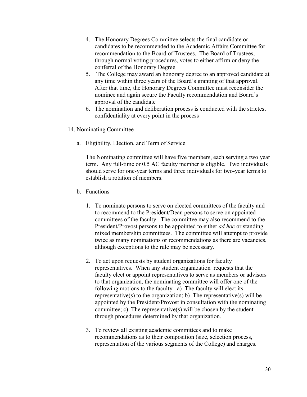- 4. The Honorary Degrees Committee selects the final candidate or candidates to be recommended to the Academic Affairs Committee for recommendation to the Board of Trustees. The Board of Trustees, through normal voting procedures, votes to either affirm or deny the conferral of the Honorary Degree
- 5. The College may award an honorary degree to an approved candidate at any time within three years of the Board's granting of that approval. After that time, the Honorary Degrees Committee must reconsider the nominee and again secure the Faculty recommendation and Board's approval of the candidate
- 6. The nomination and deliberation process is conducted with the strictest confidentiality at every point in the process
- 14. Nominating Committee
	- a. Eligibility, Election, and Term of Service

The Nominating committee will have five members, each serving a two year term. Any full-time or 0.5 AC faculty member is eligible. Two individuals should serve for one-year terms and three individuals for two-year terms to establish a rotation of members.

- b. Functions
	- 1. To nominate persons to serve on elected committees of the faculty and to recommend to the President/Dean persons to serve on appointed committees of the faculty. The committee may also recommend to the President/Provost persons to be appointed to either *ad hoc* or standing mixed membership committees. The committee will attempt to provide twice as many nominations or recommendations as there are vacancies, although exceptions to the rule may be necessary.
	- 2. To act upon requests by student organizations for faculty representatives. When any student organization requests that the faculty elect or appoint representatives to serve as members or advisors to that organization, the nominating committee will offer one of the following motions to the faculty: a) The faculty will elect its representative(s) to the organization; b) The representative(s) will be appointed by the President/Provost in consultation with the nominating committee; c) The representative(s) will be chosen by the student through procedures determined by that organization.
	- 3. To review all existing academic committees and to make recommendations as to their composition (size, selection process, representation of the various segments of the College) and charges.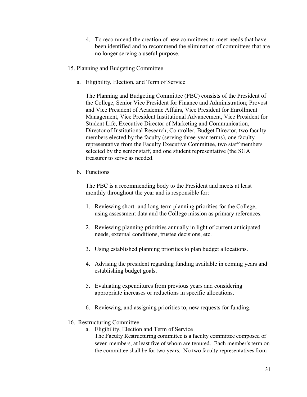- 4. To recommend the creation of new committees to meet needs that have been identified and to recommend the elimination of committees that are no longer serving a useful purpose.
- 15. Planning and Budgeting Committee
	- a. Eligibility, Election, and Term of Service

The Planning and Budgeting Committee (PBC) consists of the President of the College, Senior Vice President for Finance and Administration; Provost and Vice President of Academic Affairs, Vice President for Enrollment Management, Vice President Institutional Advancement, Vice President for Student Life, Executive Director of Marketing and Communication, Director of Institutional Research, Controller, Budget Director, two faculty members elected by the faculty (serving three-year terms), one faculty representative from the Faculty Executive Committee, two staff members selected by the senior staff, and one student representative (the SGA treasurer to serve as needed.

b. Functions

The PBC is a recommending body to the President and meets at least monthly throughout the year and is responsible for:

- 1. Reviewing short- and long-term planning priorities for the College, using assessment data and the College mission as primary references.
- 2. Reviewing planning priorities annually in light of current anticipated needs, external conditions, trustee decisions, etc.
- 3. Using established planning priorities to plan budget allocations.
- 4. Advising the president regarding funding available in coming years and establishing budget goals.
- 5. Evaluating expenditures from previous years and considering appropriate increases or reductions in specific allocations.
- 6. Reviewing, and assigning priorities to, new requests for funding.
- 16. Restructuring Committee
	- a. Eligibility, Election and Term of Service
		- The Faculty Restructuring committee is a faculty committee composed of seven members, at least five of whom are tenured. Each member's term on the committee shall be for two years. No two faculty representatives from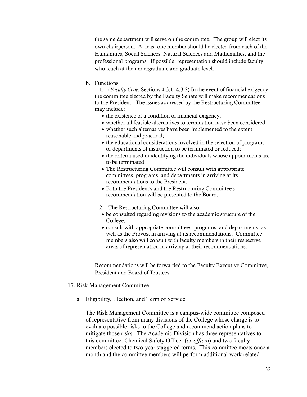the same department will serve on the committee. The group will elect its own chairperson. At least one member should be elected from each of the Humanities, Social Sciences, Natural Sciences and Mathematics, and the professional programs. If possible, representation should include faculty who teach at the undergraduate and graduate level.

# b. Functions

1. (*Faculty Code*, Sections 4.3.1, 4.3.2) In the event of financial exigency, the committee elected by the Faculty Senate will make recommendations to the President. The issues addressed by the Restructuring Committee may include:

- the existence of a condition of financial exigency;
- whether all feasible alternatives to termination have been considered;
- whether such alternatives have been implemented to the extent reasonable and practical;
- the educational considerations involved in the selection of programs or departments of instruction to be terminated or reduced;
- the criteria used in identifying the individuals whose appointments are to be terminated.
- The Restructuring Committee will consult with appropriate committees, programs, and departments in arriving at its recommendations to the President.
- Both the President's and the Restructuring Committee's recommendation will be presented to the Board.
- 2. The Restructuring Committee will also:
- be consulted regarding revisions to the academic structure of the College;
- consult with appropriate committees, programs, and departments, as well as the Provost in arriving at its recommendations. Committee members also will consult with faculty members in their respective areas of representation in arriving at their recommendations.

Recommendations will be forwarded to the Faculty Executive Committee, President and Board of Trustees.

- 17. Risk Management Committee
	- a. Eligibility, Election, and Term of Service

The Risk Management Committee is a campus-wide committee composed of representative from many divisions of the College whose charge is to evaluate possible risks to the College and recommend action plans to mitigate those risks. The Academic Division has three representatives to this committee: Chemical Safety Officer (*ex officio*) and two faculty members elected to two-year staggered terms. This committee meets once a month and the committee members will perform additional work related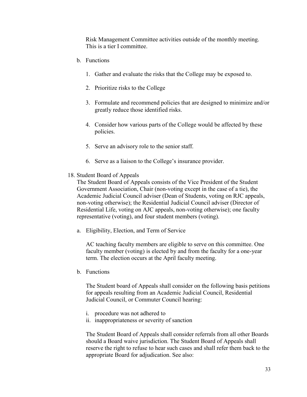Risk Management Committee activities outside of the monthly meeting. This is a tier I committee.

- b. Functions
	- 1. Gather and evaluate the risks that the College may be exposed to.
	- 2. Prioritize risks to the College
	- 3. Formulate and recommend policies that are designed to minimize and/or greatly reduce those identified risks.
	- 4. Consider how various parts of the College would be affected by these policies.
	- 5. Serve an advisory role to the senior staff.
	- 6. Serve as a liaison to the College's insurance provider.
- 18. Student Board of Appeals

The Student Board of Appeals consists of the Vice President of the Student Government Association, Chair (non-voting except in the case of a tie), the Academic Judicial Council adviser (Dean of Students, voting on RJC appeals, non-voting otherwise); the Residential Judicial Council adviser (Director of Residential Life, voting on AJC appeals, non-voting otherwise); one faculty representative (voting), and four student members (voting).

a. Eligibility, Election, and Term of Service

AC teaching faculty members are eligible to serve on this committee. One faculty member (voting) is elected by and from the faculty for a one-year term. The election occurs at the April faculty meeting.

b. Functions

The Student board of Appeals shall consider on the following basis petitions for appeals resulting from an Academic Judicial Council, Residential Judicial Council, or Commuter Council hearing:

- i. procedure was not adhered to
- ii. inappropriateness or severity of sanction

The Student Board of Appeals shall consider referrals from all other Boards should a Board waive jurisdiction. The Student Board of Appeals shall reserve the right to refuse to hear such cases and shall refer them back to the appropriate Board for adjudication. See also: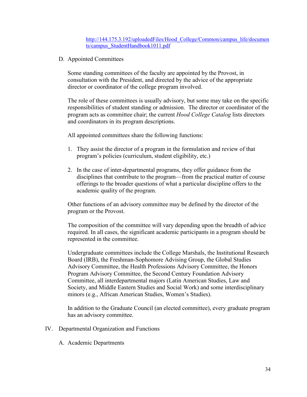[http://144.175.3.192/uploadedFiles/Hood\\_College/Common/campus\\_life/documen](http://144.175.3.192/uploadedFiles/Hood_College/Common/campus_life/documents/campus_StudentHandbook1011.pdf) [ts/campus\\_StudentHandbook1011.pdf](http://144.175.3.192/uploadedFiles/Hood_College/Common/campus_life/documents/campus_StudentHandbook1011.pdf)

<span id="page-33-0"></span>D. Appointed Committees

Some standing committees of the faculty are appointed by the Provost, in consultation with the President, and directed by the advice of the appropriate director or coordinator of the college program involved.

The role of these committees is usually advisory, but some may take on the specific responsibilities of student standing or admission. The director or coordinator of the program acts as committee chair; the current *Hood College Catalog* lists directors and coordinators in its program descriptions.

All appointed committees share the following functions:

- 1. They assist the director of a program in the formulation and review of that program's policies (curriculum, student eligibility, etc.)
- 2. In the case of inter-departmental programs, they offer guidance from the disciplines that contribute to the program—from the practical matter of course offerings to the broader questions of what a particular discipline offers to the academic quality of the program.

Other functions of an advisory committee may be defined by the director of the program or the Provost.

The composition of the committee will vary depending upon the breadth of advice required. In all cases, the significant academic participants in a program should be represented in the committee.

Undergraduate committees include the College Marshals, the Institutional Research Board (IRB), the Freshman-Sophomore Advising Group, the Global Studies Advisory Committee, the Health Professions Advisory Committee, the Honors Program Advisory Committee, the Second Century Foundation Advisory Committee, all interdepartmental majors (Latin American Studies, Law and Society, and Middle Eastern Studies and Social Work) and some interdisciplinary minors (e.g., African American Studies, Women's Studies).

In addition to the Graduate Council (an elected committee), every graduate program has an advisory committee.

- <span id="page-33-2"></span><span id="page-33-1"></span>IV. Departmental Organization and Functions
	- A. Academic Departments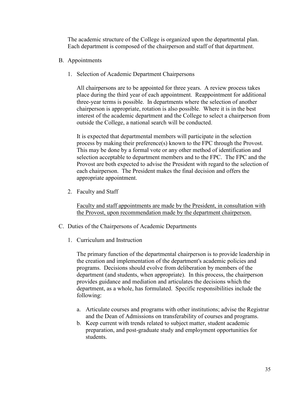The academic structure of the College is organized upon the departmental plan. Each department is composed of the chairperson and staff of that department.

- <span id="page-34-0"></span>B. Appointments
	- 1. Selection of Academic Department Chairpersons

All chairpersons are to be appointed for three years. A review process takes place during the third year of each appointment. Reappointment for additional three-year terms is possible. In departments where the selection of another chairperson is appropriate, rotation is also possible. Where it is in the best interest of the academic department and the College to select a chairperson from outside the College, a national search will be conducted.

It is expected that departmental members will participate in the selection process by making their preference(s) known to the FPC through the Provost. This may be done by a formal vote or any other method of identification and selection acceptable to department members and to the FPC. The FPC and the Provost are both expected to advise the President with regard to the selection of each chairperson. The President makes the final decision and offers the appropriate appointment.

2. Faculty and Staff

Faculty and staff appointments are made by the President, in consultation with the Provost, upon recommendation made by the department chairperson.

- <span id="page-34-1"></span>C. Duties of the Chairpersons of Academic Departments
	- 1. Curriculum and Instruction

The primary function of the departmental chairperson is to provide leadership in the creation and implementation of the department's academic policies and programs. Decisions should evolve from deliberation by members of the department (and students, when appropriate). In this process, the chairperson provides guidance and mediation and articulates the decisions which the department, as a whole, has formulated. Specific responsibilities include the following:

- a. Articulate courses and programs with other institutions; advise the Registrar and the Dean of Admissions on transferability of courses and programs.
- b. Keep current with trends related to subject matter, student academic preparation, and post-graduate study and employment opportunities for students.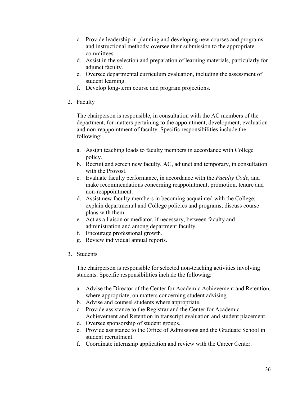- c. Provide leadership in planning and developing new courses and programs and instructional methods; oversee their submission to the appropriate committees.
- d. Assist in the selection and preparation of learning materials, particularly for adjunct faculty.
- e. Oversee departmental curriculum evaluation, including the assessment of student learning.
- f. Develop long-term course and program projections.
- 2. Faculty

The chairperson is responsible, in consultation with the AC members of the department, for matters pertaining to the appointment, development, evaluation and non-reappointment of faculty. Specific responsibilities include the following:

- a. Assign teaching loads to faculty members in accordance with College policy.
- b. Recruit and screen new faculty, AC, adjunct and temporary, in consultation with the Provost.
- c. Evaluate faculty performance, in accordance with the *Faculty Code*, and make recommendations concerning reappointment, promotion, tenure and non-reappointment.
- d. Assist new faculty members in becoming acquainted with the College; explain departmental and College policies and programs; discuss course plans with them.
- e. Act as a liaison or mediator, if necessary, between faculty and administration and among department faculty.
- f. Encourage professional growth.
- g. Review individual annual reports.
- 3. Students

The chairperson is responsible for selected non-teaching activities involving students. Specific responsibilities include the following:

- a. Advise the Director of the Center for Academic Achievement and Retention, where appropriate, on matters concerning student advising.
- b. Advise and counsel students where appropriate.
- c. Provide assistance to the Registrar and the Center for Academic Achievement and Retention in transcript evaluation and student placement.
- d. Oversee sponsorship of student groups.
- e. Provide assistance to the Office of Admissions and the Graduate School in student recruitment.
- f. Coordinate internship application and review with the Career Center.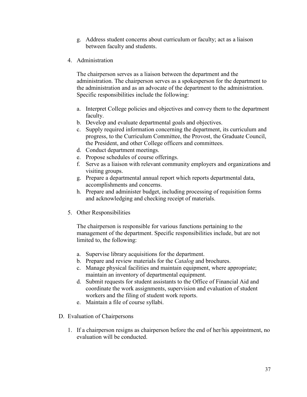- g. Address student concerns about curriculum or faculty; act as a liaison between faculty and students.
- 4. Administration

The chairperson serves as a liaison between the department and the administration. The chairperson serves as a spokesperson for the department to the administration and as an advocate of the department to the administration. Specific responsibilities include the following:

- a. Interpret College policies and objectives and convey them to the department faculty.
- b. Develop and evaluate departmental goals and objectives.
- c. Supply required information concerning the department, its curriculum and progress, to the Curriculum Committee, the Provost, the Graduate Council, the President, and other College officers and committees.
- d. Conduct department meetings.
- e. Propose schedules of course offerings.
- f. Serve as a liaison with relevant community employers and organizations and visiting groups.
- g. Prepare a departmental annual report which reports departmental data, accomplishments and concerns.
- h. Prepare and administer budget, including processing of requisition forms and acknowledging and checking receipt of materials.
- 5. Other Responsibilities

The chairperson is responsible for various functions pertaining to the management of the department. Specific responsibilities include, but are not limited to, the following:

- a. Supervise library acquisitions for the department.
- b. Prepare and review materials for the *Catalog* and brochures.
- c. Manage physical facilities and maintain equipment, where appropriate; maintain an inventory of departmental equipment.
- d. Submit requests for student assistants to the Office of Financial Aid and coordinate the work assignments, supervision and evaluation of student workers and the filing of student work reports.
- e. Maintain a file of course syllabi.
- D. Evaluation of Chairpersons
	- 1. If a chairperson resigns as chairperson before the end of her/his appointment, no evaluation will be conducted.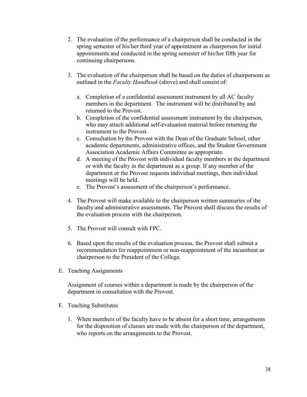- 2. The evaluation of the performance of a chairperson shall be conducted in the spring semester of his/her third year of appointment as chairperson for initial appointments and conducted in the spring semester of his/her fifth year for continuing chairpersons.
- 3. The evaluation of the chairperson shall be based on the duties of chairpersons as outlined in the *Faculty Handbook* (above) and shall consist of:
	- a. Completion of a confidential assessment instrument by all AC faculty members in the department. The instrument will be distributed by and returned to the Provost.
	- b. Completion of the confidential assessment instrument by the chairperson, who may attach additional self-evaluation material before returning the instrument to the Provost.
	- c. Consultation by the Provost with the Dean of the Graduate School, other academic departments, administrative offices, and the Student Government Association Academic Affairs Committee as appropriate.
	- d. A meeting of the Provost with individual faculty members in the department or with the faculty in the department as a group. If any member of the department or the Provost requests individual meetings, then individual meetings will be held.
	- e. The Provost's assessment of the chairperson's performance.
- 4. The Provost will make available to the chairperson written summaries of the faculty and administrative assessments. The Provost shall discuss the results of the evaluation process with the chairperson.
- 5. The Provost will consult with FPC.
- 6. Based upon the results of the evaluation process, the Provost shall submit a recommendation for reappointment or non-reappointment of the incumbent as chairperson to the President of the College.
- E. Teaching Assignments

Assignment of courses within a department is made by the chairperson of the department in consultation with the Provost.

- F. Teaching Substitutes
	- 1. When members of the faculty have to be absent for a short time, arrangements for the disposition of classes are made with the chairperson of the department, who reports on the arrangements to the Provost.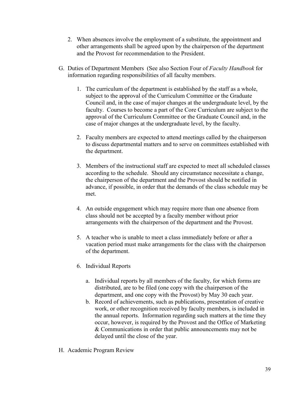- 2. When absences involve the employment of a substitute, the appointment and other arrangements shall be agreed upon by the chairperson of the department and the Provost for recommendation to the President.
- G. Duties of Department Members (See also Section Four of *Faculty Handbook* for information regarding responsibilities of all faculty members.
	- 1. The curriculum of the department is established by the staff as a whole, subject to the approval of the Curriculum Committee or the Graduate Council and, in the case of major changes at the undergraduate level, by the faculty. Courses to become a part of the Core Curriculum are subject to the approval of the Curriculum Committee or the Graduate Council and, in the case of major changes at the undergraduate level, by the faculty.
	- 2. Faculty members are expected to attend meetings called by the chairperson to discuss departmental matters and to serve on committees established with the department.
	- 3. Members of the instructional staff are expected to meet all scheduled classes according to the schedule. Should any circumstance necessitate a change, the chairperson of the department and the Provost should be notified in advance, if possible, in order that the demands of the class schedule may be met.
	- 4. An outside engagement which may require more than one absence from class should not be accepted by a faculty member without prior arrangements with the chairperson of the department and the Provost.
	- 5. A teacher who is unable to meet a class immediately before or after a vacation period must make arrangements for the class with the chairperson of the department.
	- 6. Individual Reports
		- a. Individual reports by all members of the faculty, for which forms are distributed, are to be filed (one copy with the chairperson of the department, and one copy with the Provost) by May 30 each year.
		- b. Record of achievements, such as publications, presentation of creative work, or other recognition received by faculty members, is included in the annual reports. Information regarding such matters at the time they occur, however, is required by the Provost and the Office of Marketing & Communications in order that public announcements may not be delayed until the close of the year.
- H. Academic Program Review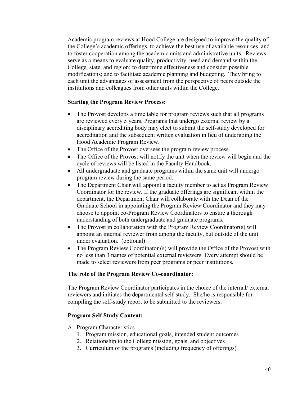Academic program reviews at Hood College are designed to improve the quality of the College's academic offerings, to achieve the best use of available resources, and to foster cooperation among the academic units and administrative units. Reviews serve as a means to evaluate quality, productivity, need and demand within the College, state, and region; to determine effectiveness and consider possible modifications; and to facilitate academic planning and budgeting. They bring to each unit the advantages of assessment from the perspective of peers outside the institutions and colleagues from other units within the College.

### **Starting the Program Review Process:**

- The Provost develops a time table for program reviews such that all programs are reviewed every 5 years. Programs that undergo external review by a disciplinary accrediting body may elect to submit the self-study developed for accreditation and the subsequent written evaluation in lieu of undergoing the Hood Academic Program Review.
- The Office of the Provost oversees the program review process.
- The Office of the Provost will notify the unit when the review will begin and the cycle of reviews will be listed in the Faculty Handbook.
- All undergraduate and graduate programs within the same unit will undergo program review during the same period.
- The Department Chair will appoint a faculty member to act as Program Review Coordinator for the review. If the graduate offerings are significant within the department, the Department Chair will collaborate with the Dean of the Graduate School in appointing the Program Review Coordinator and they may choose to appoint co-Program Review Coordinators to ensure a thorough understanding of both undergraduate and graduate programs.
- The Provost in collaboration with the Program Review Coordinator(s) will appoint an internal reviewer from among the faculty, but outside of the unit under evaluation. (optional)
- The Program Review Coordinator (s) will provide the Office of the Provost with no less than 3 names of potential external reviewers. Every attempt should be made to select reviewers from peer programs or peer institutions.

# **The role of the Program Review Co-coordinator:**

The Program Review Coordinator participates in the choice of the internal/ external reviewers and initiates the departmental self-study. She/he is responsible for compiling the self-study report to be submitted to the reviewers.

# **Program Self Study Content:**

- A. Program Characteristics
	- 1. Program mission, educational goals, intended student outcomes
	- 2. Relationship to the College mission, goals, and objectives
	- 3. Curriculum of the programs (including frequency of offerings)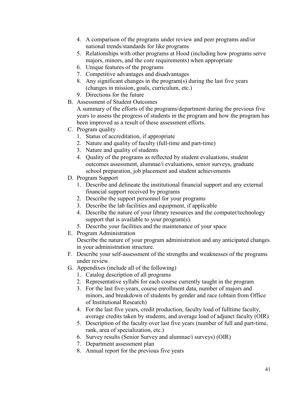- 4. A comparison of the programs under review and peer programs and/or national trends/standards for like programs
- 5. Relationships with other programs at Hood (including how programs serve majors, minors, and the core requirements) when appropriate
- 6. Unique features of the programs
- 7. Competitive advantages and disadvantages
- 8. Any significant changes in the program(s) during the last five years (changes in mission, goals, curriculum, etc.)
- 9. Directions for the future
- B. Assessment of Student Outcomes

A summary of the efforts of the programs/department during the previous five years to assess the progress of students in the program and how the program has been improved as a result of these assessment efforts.

- C. Program quality
	- 1. Status of accreditation, if appropriate
	- 2. Nature and quality of faculty (full-time and part-time)
	- 3. Nature and quality of students
	- 4. Quality of the programs as reflected by student evaluations, student outcomes assessment, alumnae/i evaluations, senior surveys, graduate school preparation, job placement and student achievements
- D. Program Support
	- 1. Describe and delineate the institutional financial support and any external financial support received by programs
	- 2. Describe the support personnel for your programs
	- 3. Describe the lab facilities and equipment, if applicable
	- 4. Describe the nature of your library resources and the computer/technology support that is available to your program(s).
	- 5. Describe your facilities and the maintenance of your space
- E. Program Administration

Describe the nature of your program administration and any anticipated changes in your administration structure.

- F. Describe your self-assessment of the strengths and weaknesses of the programs under review.
- G. Appendixes (include all of the following)
	- 1. Catalog description of all programs
	- 2. Representative syllabi for each course currently taught in the program
	- 3. For the last five-years, course enrollment data, number of majors and minors, and breakdown of students by gender and race (obtain from Office of Institutional Research)
	- 4. For the last five years, credit production, faculty load of fulltime faculty, average credits taken by students, and average load of adjunct faculty (OIR)
	- 5. Description of the faculty over last five years (number of full and part-time, rank, area of specialization, etc.)
	- 6. Survey results (Senior Survey and alumnae/i surveys) (OIR)
	- 7. Department assessment plan
	- 8. Annual report for the previous five years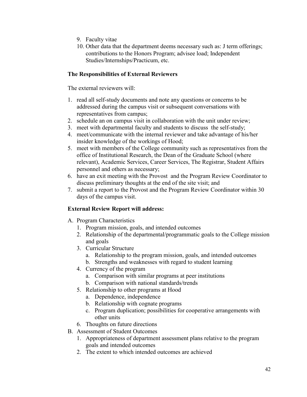- 9. Faculty vitae
- 10. Other data that the department deems necessary such as: J term offerings; contributions to the Honors Program; advisee load; Independent Studies/Internships/Practicum, etc.

# **The Responsibilities of External Reviewers**

The external reviewers will:

- 1. read all self-study documents and note any questions or concerns to be addressed during the campus visit or subsequent conversations with representatives from campus;
- 2. schedule an on campus visit in collaboration with the unit under review;
- 3. meet with departmental faculty and students to discuss the self-study;
- 4. meet/communicate with the internal reviewer and take advantage of his/her insider knowledge of the workings of Hood;
- 5. meet with members of the College community such as representatives from the office of Institutional Research, the Dean of the Graduate School (where relevant), Academic Services, Career Services, The Registrar, Student Affairs personnel and others as necessary;
- 6. have an exit meeting with the Provost and the Program Review Coordinator to discuss preliminary thoughts at the end of the site visit; and
- 7. submit a report to the Provost and the Program Review Coordinator within 30 days of the campus visit.

# **External Review Report will address:**

- A. Program Characteristics
	- 1. Program mission, goals, and intended outcomes
	- 2. Relationship of the departmental/programmatic goals to the College mission and goals
	- 3. Curricular Structure
		- a. Relationship to the program mission, goals, and intended outcomes
		- b. Strengths and weaknesses with regard to student learning
	- 4. Currency of the program
		- a. Comparison with similar programs at peer institutions
		- b. Comparison with national standards/trends
	- 5. Relationship to other programs at Hood
		- a. Dependence, independence
		- b. Relationship with cognate programs
		- c. Program duplication; possibilities for cooperative arrangements with other units
	- 6. Thoughts on future directions
- B. Assessment of Student Outcomes
	- 1. Appropriateness of department assessment plans relative to the program goals and intended outcomes
	- 2. The extent to which intended outcomes are achieved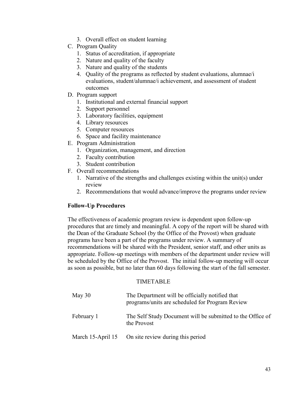- 3. Overall effect on student learning
- C. Program Quality
	- 1. Status of accreditation, if appropriate
	- 2. Nature and quality of the faculty
	- 3. Nature and quality of the students
	- 4. Quality of the programs as reflected by student evaluations, alumnae/i evaluations, student/alumnae/i achievement, and assessment of student outcomes
- D. Program support
	- 1. Institutional and external financial support
	- 2. Support personnel
	- 3. Laboratory facilities, equipment
	- 4. Library resources
	- 5. Computer resources
	- 6. Space and facility maintenance
- E. Program Administration
	- 1. Organization, management, and direction
	- 2. Faculty contribution
	- 3. Student contribution
- F. Overall recommendations
	- 1. Narrative of the strengths and challenges existing within the unit(s) under review
	- 2. Recommendations that would advance/improve the programs under review

# **Follow-Up Procedures**

The effectiveness of academic program review is dependent upon follow-up procedures that are timely and meaningful. A copy of the report will be shared with the Dean of the Graduate School (by the Office of the Provost) when graduate programs have been a part of the programs under review. A summary of recommendations will be shared with the President, senior staff, and other units as appropriate. Follow-up meetings with members of the department under review will be scheduled by the Office of the Provost. The initial follow-up meeting will occur as soon as possible, but no later than 60 days following the start of the fall semester.

#### TIMETABLE

| May $30$   | The Department will be officially notified that<br>programs/units are scheduled for Program Review |
|------------|----------------------------------------------------------------------------------------------------|
| February 1 | The Self Study Document will be submitted to the Office of<br>the Provost                          |
|            | March 15-April 15 On site review during this period                                                |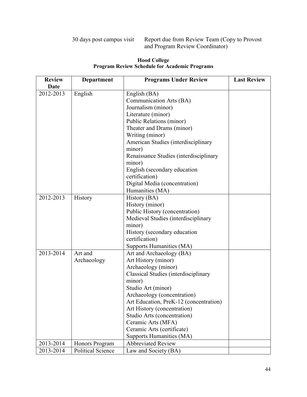# 30 days post campus visit Report due from Review Team (Copy to Provost and Program Review Coordinator)

| <b>Review</b> | <b>Department</b>        | <b>Programs Under Review</b>           | <b>Last Review</b> |
|---------------|--------------------------|----------------------------------------|--------------------|
| Date          |                          |                                        |                    |
| 2012-2013     | English                  | English (BA)                           |                    |
|               |                          | Communication Arts (BA)                |                    |
|               |                          | Journalism (minor)                     |                    |
|               |                          | Literature (minor)                     |                    |
|               |                          | Public Relations (minor)               |                    |
|               |                          | Theater and Drams (minor)              |                    |
|               |                          | Writing (minor)                        |                    |
|               |                          | American Studies (interdisciplinary    |                    |
|               |                          | minor)                                 |                    |
|               |                          | Renaissance Studies (interdisciplinary |                    |
|               |                          | minor)                                 |                    |
|               |                          | English (secondary education           |                    |
|               |                          | certification)                         |                    |
|               |                          | Digital Media (concentration)          |                    |
|               |                          | Humanities (MA)                        |                    |
| 2012-2013     | History                  | History (BA)                           |                    |
|               |                          | History (minor)                        |                    |
|               |                          | Public History (concentration)         |                    |
|               |                          | Medieval Studies (interdisciplinary    |                    |
|               |                          | minor)                                 |                    |
|               |                          | History (secondary education           |                    |
|               |                          | certification)                         |                    |
|               |                          | Supports Humanities (MA)               |                    |
| 2013-2014     | Art and                  | Art and Archaeology (BA)               |                    |
|               | Archaeology              | Art History (minor)                    |                    |
|               |                          | Archaeology (minor)                    |                    |
|               |                          | Classical Studies (interdisciplinary   |                    |
|               |                          | minor)                                 |                    |
|               |                          | Studio Art (minor)                     |                    |
|               |                          | Archaeology (concentration)            |                    |
|               |                          | Art Education, PreK-12 (concentration) |                    |
|               |                          | Art History (concentration)            |                    |
|               |                          | Studio Arts (concentration)            |                    |
|               |                          | Ceramic Arts (MFA)                     |                    |
|               |                          | Ceramic Arts (certificate)             |                    |
|               |                          | Supports Humanities (MA)               |                    |
| 2013-2014     | Honors Program           | <b>Abbreviated Review</b>              |                    |
| 2013-2014     | <b>Political Science</b> | Law and Society (BA)                   |                    |

# **Hood College Program Review Schedule for Academic Programs**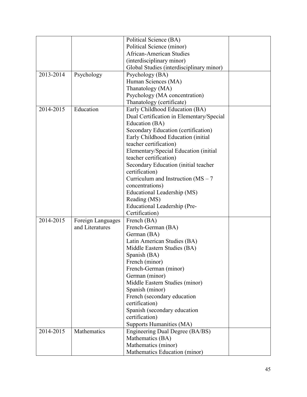|               |                   | Political Science (BA)                   |  |
|---------------|-------------------|------------------------------------------|--|
|               |                   | Political Science (minor)                |  |
|               |                   | <b>African-American Studies</b>          |  |
|               |                   | (interdisciplinary minor)                |  |
|               |                   | Global Studies (interdisciplinary minor) |  |
| $2013 - 2014$ | Psychology        | Psychology (BA)                          |  |
|               |                   | Human Sciences (MA)                      |  |
|               |                   | Thanatology (MA)                         |  |
|               |                   | Psychology (MA concentration)            |  |
|               |                   | Thanatology (certificate)                |  |
| 2014-2015     | Education         | Early Childhood Education (BA)           |  |
|               |                   | Dual Certification in Elementary/Special |  |
|               |                   | Education (BA)                           |  |
|               |                   | Secondary Education (certification)      |  |
|               |                   | Early Childhood Education (initial       |  |
|               |                   | teacher certification)                   |  |
|               |                   | Elementary/Special Education (initial    |  |
|               |                   | teacher certification)                   |  |
|               |                   | Secondary Education (initial teacher     |  |
|               |                   | certification)                           |  |
|               |                   | Curriculum and Instruction ( $MS - 7$    |  |
|               |                   | concentrations)                          |  |
|               |                   | Educational Leadership (MS)              |  |
|               |                   | Reading (MS)                             |  |
|               |                   | Educational Leadership (Pre-             |  |
|               |                   | Certification)                           |  |
| 2014-2015     | Foreign Languages | French (BA)                              |  |
|               | and Literatures   | French-German (BA)                       |  |
|               |                   | German (BA)                              |  |
|               |                   | Latin American Studies (BA)              |  |
|               |                   | Middle Eastern Studies (BA)              |  |
|               |                   | Spanish (BA)                             |  |
|               |                   | French (minor)                           |  |
|               |                   | French-German (minor)                    |  |
|               |                   | German (minor)                           |  |
|               |                   | Middle Eastern Studies (minor)           |  |
|               |                   | Spanish (minor)                          |  |
|               |                   | French (secondary education              |  |
|               |                   | certification)                           |  |
|               |                   | Spanish (secondary education             |  |
|               |                   | certification)                           |  |
|               |                   | Supports Humanities (MA)                 |  |
| 2014-2015     | Mathematics       | Engineering Dual Degree (BA/BS)          |  |
|               |                   | Mathematics (BA)                         |  |
|               |                   | Mathematics (minor)                      |  |
|               |                   | Mathematics Education (minor)            |  |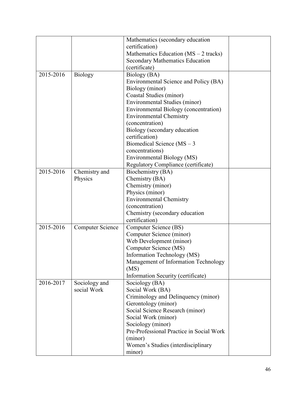|           |                  | Mathematics (secondary education         |  |
|-----------|------------------|------------------------------------------|--|
|           |                  | certification)                           |  |
|           |                  | Mathematics Education $(MS - 2$ tracks)  |  |
|           |                  | <b>Secondary Mathematics Education</b>   |  |
|           |                  | (certificate)                            |  |
| 2015-2016 | Biology          | Biology (BA)                             |  |
|           |                  | Environmental Science and Policy (BA)    |  |
|           |                  | Biology (minor)                          |  |
|           |                  | Coastal Studies (minor)                  |  |
|           |                  | Environmental Studies (minor)            |  |
|           |                  | Environmental Biology (concentration)    |  |
|           |                  | <b>Environmental Chemistry</b>           |  |
|           |                  | (concentration)                          |  |
|           |                  | Biology (secondary education             |  |
|           |                  | certification)                           |  |
|           |                  | Biomedical Science ( $MS - 3$            |  |
|           |                  | concentrations)                          |  |
|           |                  | Environmental Biology (MS)               |  |
|           |                  | Regulatory Compliance (certificate)      |  |
| 2015-2016 | Chemistry and    | Biochemistry (BA)                        |  |
|           | Physics          | Chemistry (BA)                           |  |
|           |                  | Chemistry (minor)                        |  |
|           |                  | Physics (minor)                          |  |
|           |                  | <b>Environmental Chemistry</b>           |  |
|           |                  | (concentration)                          |  |
|           |                  | Chemistry (secondary education           |  |
|           |                  | certification)                           |  |
| 2015-2016 | Computer Science | Computer Science (BS)                    |  |
|           |                  | Computer Science (minor)                 |  |
|           |                  | Web Development (minor)                  |  |
|           |                  | Computer Science (MS)                    |  |
|           |                  | Information Technology (MS)              |  |
|           |                  | Management of Information Technology     |  |
|           |                  | (MS)                                     |  |
|           |                  | Information Security (certificate)       |  |
| 2016-2017 | Sociology and    | Sociology (BA)                           |  |
|           | social Work      | Social Work (BA)                         |  |
|           |                  | Criminology and Delinquency (minor)      |  |
|           |                  | Gerontology (minor)                      |  |
|           |                  | Social Science Research (minor)          |  |
|           |                  | Social Work (minor)                      |  |
|           |                  | Sociology (minor)                        |  |
|           |                  | Pre-Professional Practice in Social Work |  |
|           |                  | (minor)                                  |  |
|           |                  | Women's Studies (interdisciplinary       |  |
|           |                  | minor)                                   |  |
|           |                  |                                          |  |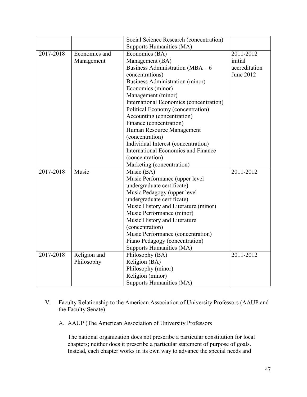|           |               | Social Science Research (concentration) |               |
|-----------|---------------|-----------------------------------------|---------------|
|           |               | Supports Humanities (MA)                |               |
| 2017-2018 | Economics and | Economics (BA)                          | 2011-2012     |
|           | Management    | Management (BA)                         | initial       |
|           |               | Business Administration ( $MBA - 6$     | accreditation |
|           |               | concentrations)                         | June 2012     |
|           |               | Business Administration (minor)         |               |
|           |               | Economics (minor)                       |               |
|           |               | Management (minor)                      |               |
|           |               | International Economics (concentration) |               |
|           |               | Political Economy (concentration)       |               |
|           |               | Accounting (concentration)              |               |
|           |               | Finance (concentration)                 |               |
|           |               | Human Resource Management               |               |
|           |               | (concentration)                         |               |
|           |               | Individual Interest (concentration)     |               |
|           |               | International Economics and Finance     |               |
|           |               | (concentration)                         |               |
|           |               | Marketing (concentration)               |               |
| 2017-2018 | Music         | Music (BA)                              | 2011-2012     |
|           |               | Music Performance (upper level          |               |
|           |               | undergraduate certificate)              |               |
|           |               | Music Pedagogy (upper level             |               |
|           |               | undergraduate certificate)              |               |
|           |               | Music History and Literature (minor)    |               |
|           |               | Music Performance (minor)               |               |
|           |               | Music History and Literature            |               |
|           |               | (concentration)                         |               |
|           |               | Music Performance (concentration)       |               |
|           |               | Piano Pedagogy (concentration)          |               |
|           |               | Supports Humanities (MA)                |               |
| 2017-2018 | Religion and  | Philosophy (BA)                         | 2011-2012     |
|           | Philosophy    | Religion (BA)                           |               |
|           |               | Philosophy (minor)                      |               |
|           |               | Religion (minor)                        |               |
|           |               | Supports Humanities (MA)                |               |

- V. Faculty Relationship to the American Association of University Professors (AAUP and the Faculty Senate)
	- A. AAUP (The American Association of University Professors

The national organization does not prescribe a particular constitution for local chapters; neither does it prescribe a particular statement of purpose of goals. Instead, each chapter works in its own way to advance the special needs and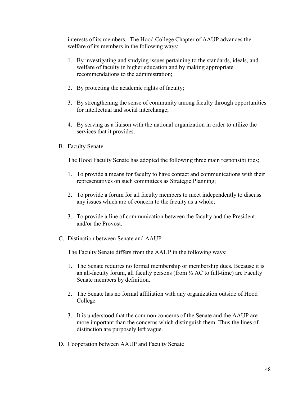interests of its members. The Hood College Chapter of AAUP advances the welfare of its members in the following ways:

- 1. By investigating and studying issues pertaining to the standards, ideals, and welfare of faculty in higher education and by making appropriate recommendations to the administration;
- 2. By protecting the academic rights of faculty;
- 3. By strengthening the sense of community among faculty through opportunities for intellectual and social interchange;
- 4. By serving as a liaison with the national organization in order to utilize the services that it provides.
- B. Faculty Senate

The Hood Faculty Senate has adopted the following three main responsibilities;

- 1. To provide a means for faculty to have contact and communications with their representatives on such committees as Strategic Planning;
- 2. To provide a forum for all faculty members to meet independently to discuss any issues which are of concern to the faculty as a whole;
- 3. To provide a line of communication between the faculty and the President and/or the Provost.
- C. Distinction between Senate and AAUP

The Faculty Senate differs from the AAUP in the following ways:

- 1. The Senate requires no formal membership or membership dues. Because it is an all-faculty forum, all faculty persons (from  $\frac{1}{2}$  AC to full-time) are Faculty Senate members by definition.
- 2. The Senate has no formal affiliation with any organization outside of Hood College.
- 3. It is understood that the common concerns of the Senate and the AAUP are more important than the concerns which distinguish them. Thus the lines of distinction are purposely left vague.
- D. Cooperation between AAUP and Faculty Senate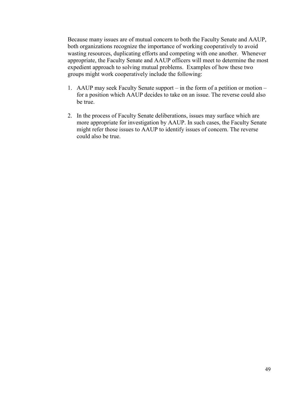Because many issues are of mutual concern to both the Faculty Senate and AAUP, both organizations recognize the importance of working cooperatively to avoid wasting resources, duplicating efforts and competing with one another. Whenever appropriate, the Faculty Senate and AAUP officers will meet to determine the most expedient approach to solving mutual problems. Examples of how these two groups might work cooperatively include the following:

- 1. AAUP may seek Faculty Senate support in the form of a petition or motion for a position which AAUP decides to take on an issue. The reverse could also be true.
- 2. In the process of Faculty Senate deliberations, issues may surface which are more appropriate for investigation by AAUP. In such cases, the Faculty Senate might refer those issues to AAUP to identify issues of concern. The reverse could also be true.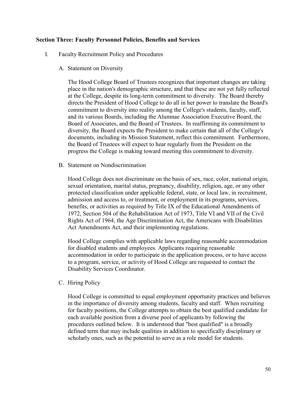### **Section Three: Faculty Personnel Policies, Benefits and Services**

- I. Faculty Recruitment Policy and Procedures
	- A. Statement on Diversity

The Hood College Board of Trustees recognizes that important changes are taking place in the nation's demographic structure, and that these are not yet fully reflected at the College, despite its long-term commitment to diversity. The Board thereby directs the President of Hood College to do all in her power to translate the Board's commitment to diversity into reality among the College's students, faculty, staff, and its various Boards, including the Alumnae Association Executive Board, the Board of Associates, and the Board of Trustees. In reaffirming its commitment to diversity, the Board expects the President to make certain that all of the College's documents, including its Mission Statement, reflect this commitment. Furthermore, the Board of Trustees will expect to hear regularly from the President on the progress the College is making toward meeting this commitment to diversity.

B. Statement on Nondiscrimination

Hood College does not discriminate on the basis of sex, race, color, national origin, sexual orientation, marital status, pregnancy, disability, religion, age, or any other protected classification under applicable federal, state, or local law, in recruitment, admission and access to, or treatment, or employment in its programs, services, benefits, or activities as required by Title IX of the Educational Amendments of 1972, Section 504 of the Rehabilitation Act of 1973, Title VI and VII of the Civil Rights Act of 1964, the Age Discrimination Act, the Americans with Disabilities Act Amendments Act, and their implementing regulations.

Hood College complies with applicable laws regarding reasonable accommodation for disabled students and employees. Applicants requiring reasonable accommodation in order to participate in the application process, or to have access to a program, service, or activity of Hood College are requested to contact the Disability Services Coordinator.

C. Hiring Policy

Hood College is committed to equal employment opportunity practices and believes in the importance of diversity among students, faculty and staff. When recruiting for faculty positions, the College attempts to obtain the best qualified candidate for each available position from a diverse pool of applicants by following the procedures outlined below. It is understood that "best qualified" is a broadly defined term that may include qualities in addition to specifically disciplinary or scholarly ones, such as the potential to serve as a role model for students.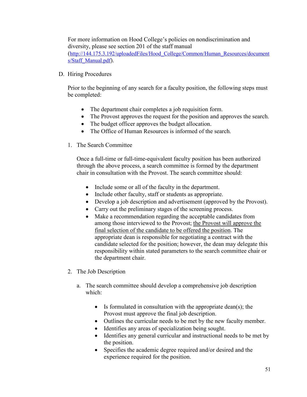For more information on Hood College's policies on nondiscrimination and diversity, please see section 201 of the staff manual [\(http://144.175.3.192/uploadedFiles/Hood\\_College/Common/Human\\_Resources/document](http://144.175.3.192/uploadedFiles/Hood_College/Common/Human_Resources/documents/Staff_Manual.pdf) [s/Staff\\_Manual.pdf\)](http://144.175.3.192/uploadedFiles/Hood_College/Common/Human_Resources/documents/Staff_Manual.pdf).

### D. Hiring Procedures

Prior to the beginning of any search for a faculty position, the following steps must be completed:

- The department chair completes a job requisition form.
- The Provost approves the request for the position and approves the search.
- The budget officer approves the budget allocation.
- The Office of Human Resources is informed of the search.
- 1. The Search Committee

Once a full-time or full-time-equivalent faculty position has been authorized through the above process, a search committee is formed by the department chair in consultation with the Provost. The search committee should:

- Include some or all of the faculty in the department.
- Include other faculty, staff or students as appropriate.
- Develop a job description and advertisement (approved by the Provost).
- Carry out the preliminary stages of the screening process.
- Make a recommendation regarding the acceptable candidates from among those interviewed to the Provost; the Provost will approve the final selection of the candidate to be offered the position. The appropriate dean is responsible for negotiating a contract with the candidate selected for the position; however, the dean may delegate this responsibility within stated parameters to the search committee chair or the department chair.
- 2. The Job Description
	- a. The search committee should develop a comprehensive job description which:
		- Is formulated in consultation with the appropriate dean(s); the Provost must approve the final job description.
		- Outlines the curricular needs to be met by the new faculty member.
		- Identifies any areas of specialization being sought.
		- Identifies any general curricular and instructional needs to be met by the position.
		- Specifies the academic degree required and/or desired and the experience required for the position.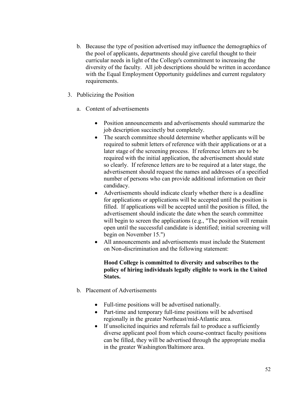- b. Because the type of position advertised may influence the demographics of the pool of applicants, departments should give careful thought to their curricular needs in light of the College's commitment to increasing the diversity of the faculty. All job descriptions should be written in accordance with the Equal Employment Opportunity guidelines and current regulatory requirements.
- 3. Publicizing the Position
	- a. Content of advertisements
		- Position announcements and advertisements should summarize the job description succinctly but completely.
		- The search committee should determine whether applicants will be required to submit letters of reference with their applications or at a later stage of the screening process. If reference letters are to be required with the initial application, the advertisement should state so clearly. If reference letters are to be required at a later stage, the advertisement should request the names and addresses of a specified number of persons who can provide additional information on their candidacy.
		- Advertisements should indicate clearly whether there is a deadline for applications or applications will be accepted until the position is filled. If applications will be accepted until the position is filled, the advertisement should indicate the date when the search committee will begin to screen the applications (e.g., "The position will remain open until the successful candidate is identified; initial screening will begin on November 15.")
		- All announcements and advertisements must include the Statement on Non-discrimination and the following statement:

## **Hood College is committed to diversity and subscribes to the policy of hiring individuals legally eligible to work in the United States.**

- b. Placement of Advertisements
	- Full-time positions will be advertised nationally.
	- Part-time and temporary full-time positions will be advertised regionally in the greater Northeast/mid-Atlantic area.
	- If unsolicited inquiries and referrals fail to produce a sufficiently diverse applicant pool from which course-contract faculty positions can be filled, they will be advertised through the appropriate media in the greater Washington/Baltimore area.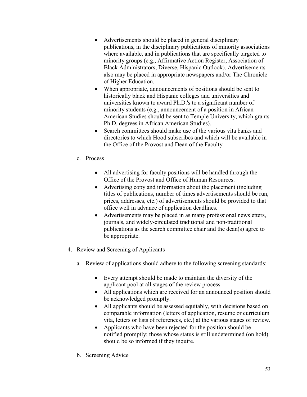- Advertisements should be placed in general disciplinary publications, in the disciplinary publications of minority associations where available, and in publications that are specifically targeted to minority groups (e.g., Affirmative Action Register, Association of Black Administrators, Diverse, Hispanic Outlook). Advertisements also may be placed in appropriate newspapers and/or The Chronicle of Higher Education.
- When appropriate, announcements of positions should be sent to historically black and Hispanic colleges and universities and universities known to award Ph.D.'s to a significant number of minority students (e.g., announcement of a position in African American Studies should be sent to Temple University, which grants Ph.D. degrees in African American Studies).
- Search committees should make use of the various vita banks and directories to which Hood subscribes and which will be available in the Office of the Provost and Dean of the Faculty.
- c. Process
	- All advertising for faculty positions will be handled through the Office of the Provost and Office of Human Resources.
	- Advertising copy and information about the placement (including titles of publications, number of times advertisements should be run, prices, addresses, etc.) of advertisements should be provided to that office well in advance of application deadlines.
	- Advertisements may be placed in as many professional newsletters, journals, and widely-circulated traditional and non-traditional publications as the search committee chair and the dean(s) agree to be appropriate.
- 4. Review and Screening of Applicants
	- a. Review of applications should adhere to the following screening standards:
		- Every attempt should be made to maintain the diversity of the applicant pool at all stages of the review process.
		- All applications which are received for an announced position should be acknowledged promptly.
		- All applicants should be assessed equitably, with decisions based on comparable information (letters of application, resume or curriculum vita, letters or lists of references, etc.) at the various stages of review.
		- Applicants who have been rejected for the position should be notified promptly; those whose status is still undetermined (on hold) should be so informed if they inquire.
	- b. Screening Advice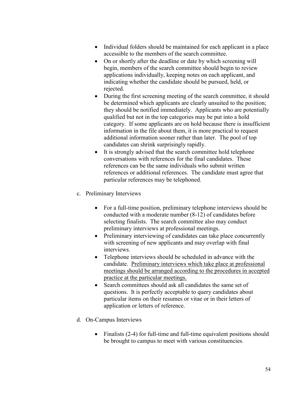- Individual folders should be maintained for each applicant in a place accessible to the members of the search committee.
- On or shortly after the deadline or date by which screening will begin, members of the search committee should begin to review applications individually, keeping notes on each applicant, and indicating whether the candidate should be pursued, held, or rejected.
- During the first screening meeting of the search committee, it should be determined which applicants are clearly unsuited to the position; they should be notified immediately. Applicants who are potentially qualified but not in the top categories may be put into a hold category. If some applicants are on hold because there is insufficient information in the file about them, it is more practical to request additional information sooner rather than later. The pool of top candidates can shrink surprisingly rapidly.
- It is strongly advised that the search committee hold telephone conversations with references for the final candidates. These references can be the same individuals who submit written references or additional references. The candidate must agree that particular references may be telephoned.
- c. Preliminary Interviews
	- For a full-time position, preliminary telephone interviews should be conducted with a moderate number (8-12) of candidates before selecting finalists. The search committee also may conduct preliminary interviews at professional meetings.
	- Preliminary interviewing of candidates can take place concurrently with screening of new applicants and may overlap with final interviews.
	- Telephone interviews should be scheduled in advance with the candidate. Preliminary interviews which take place at professional meetings should be arranged according to the procedures in accepted practice at the particular meetings.
	- Search committees should ask all candidates the same set of questions. It is perfectly acceptable to query candidates about particular items on their resumes or vitae or in their letters of application or letters of reference.
- d. On-Campus Interviews
	- Finalists (2-4) for full-time and full-time equivalent positions should be brought to campus to meet with various constituencies.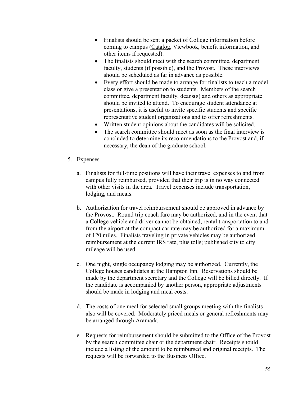- Finalists should be sent a packet of College information before coming to campus (Catalog, Viewbook, benefit information, and other items if requested).
- The finalists should meet with the search committee, department faculty, students (if possible), and the Provost. These interviews should be scheduled as far in advance as possible.
- Every effort should be made to arrange for finalists to teach a model class or give a presentation to students. Members of the search committee, department faculty, deans(s) and others as appropriate should be invited to attend. To encourage student attendance at presentations, it is useful to invite specific students and specific representative student organizations and to offer refreshments.
- Written student opinions about the candidates will be solicited.
- The search committee should meet as soon as the final interview is concluded to determine its recommendations to the Provost and, if necessary, the dean of the graduate school.
- 5. Expenses
	- a. Finalists for full-time positions will have their travel expenses to and from campus fully reimbursed, provided that their trip is in no way connected with other visits in the area. Travel expenses include transportation, lodging, and meals.
	- b. Authorization for travel reimbursement should be approved in advance by the Provost. Round trip coach fare may be authorized, and in the event that a College vehicle and driver cannot be obtained, rental transportation to and from the airport at the compact car rate may be authorized for a maximum of 120 miles. Finalists traveling in private vehicles may be authorized reimbursement at the current IRS rate, plus tolls; published city to city mileage will be used.
	- c. One night, single occupancy lodging may be authorized. Currently, the College houses candidates at the Hampton Inn. Reservations should be made by the department secretary and the College will be billed directly. If the candidate is accompanied by another person, appropriate adjustments should be made in lodging and meal costs.
	- d. The costs of one meal for selected small groups meeting with the finalists also will be covered. Moderately priced meals or general refreshments may be arranged through Aramark.
	- e. Requests for reimbursement should be submitted to the Office of the Provost by the search committee chair or the department chair. Receipts should include a listing of the amount to be reimbursed and original receipts. The requests will be forwarded to the Business Office.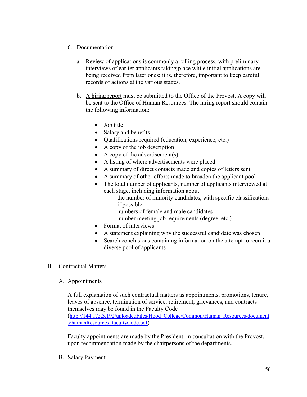- 6. Documentation
	- a. Review of applications is commonly a rolling process, with preliminary interviews of earlier applicants taking place while initial applications are being received from later ones; it is, therefore, important to keep careful records of actions at the various stages.
	- b. A hiring report must be submitted to the Office of the Provost. A copy will be sent to the Office of Human Resources. The hiring report should contain the following information:
		- Job title
		- Salary and benefits
		- Qualifications required (education, experience, etc.)
		- A copy of the job description
		- A copy of the advertisement(s)
		- A listing of where advertisements were placed
		- A summary of direct contacts made and copies of letters sent
		- A summary of other efforts made to broaden the applicant pool
		- The total number of applicants, number of applicants interviewed at each stage, including information about:
			- -- the number of minority candidates, with specific classifications if possible
			- -- numbers of female and male candidates
			- -- number meeting job requirements (degree, etc.)
		- Format of interviews
		- A statement explaining why the successful candidate was chosen
		- Search conclusions containing information on the attempt to recruit a diverse pool of applicants
- II. Contractual Matters
	- A. Appointments

A full explanation of such contractual matters as appointments, promotions, tenure, leaves of absence, termination of service, retirement, grievances, and contracts themselves may be found in the Faculty Code [\(http://144.175.3.192/uploadedFiles/Hood\\_College/Common/Human\\_Resources/document](http://144.175.3.192/uploadedFiles/Hood_College/Common/Human_Resources/documents/humanResources_facultyCode.pdf) [s/humanResources\\_facultyCode.pdf\)](http://144.175.3.192/uploadedFiles/Hood_College/Common/Human_Resources/documents/humanResources_facultyCode.pdf)

Faculty appointments are made by the President, in consultation with the Provost, upon recommendation made by the chairpersons of the departments.

B. Salary Payment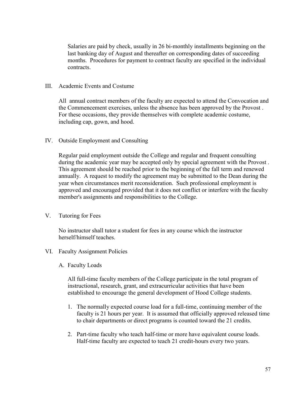Salaries are paid by check, usually in 26 bi-monthly installments beginning on the last banking day of August and thereafter on corresponding dates of succeeding months. Procedures for payment to contract faculty are specified in the individual contracts.

### III. Academic Events and Costume

All annual contract members of the faculty are expected to attend the Convocation and the Commencement exercises, unless the absence has been approved by the Provost . For these occasions, they provide themselves with complete academic costume, including cap, gown, and hood.

IV. Outside Employment and Consulting

Regular paid employment outside the College and regular and frequent consulting during the academic year may be accepted only by special agreement with the Provost . This agreement should be reached prior to the beginning of the fall term and renewed annually. A request to modify the agreement may be submitted to the Dean during the year when circumstances merit reconsideration. Such professional employment is approved and encouraged provided that it does not conflict or interfere with the faculty member's assignments and responsibilities to the College.

V. Tutoring for Fees

No instructor shall tutor a student for fees in any course which the instructor herself/himself teaches.

- VI. Faculty Assignment Policies
	- A. Faculty Loads

All full-time faculty members of the College participate in the total program of instructional, research, grant, and extracurricular activities that have been established to encourage the general development of Hood College students.

- 1. The normally expected course load for a full-time, continuing member of the faculty is 21 hours per year. It is assumed that officially approved released time to chair departments or direct programs is counted toward the 21 credits.
- 2. Part-time faculty who teach half-time or more have equivalent course loads. Half-time faculty are expected to teach 21 credit-hours every two years.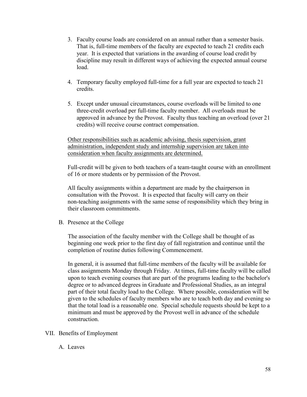- 3. Faculty course loads are considered on an annual rather than a semester basis. That is, full-time members of the faculty are expected to teach 21 credits each year. It is expected that variations in the awarding of course load credit by discipline may result in different ways of achieving the expected annual course load.
- 4. Temporary faculty employed full-time for a full year are expected to teach 21 credits.
- 5. Except under unusual circumstances, course overloads will be limited to one three-credit overload per full-time faculty member. All overloads must be approved in advance by the Provost. Faculty thus teaching an overload (over 21 credits) will receive course contract compensation.

Other responsibilities such as academic advising, thesis supervision, grant administration, independent study and internship supervision are taken into consideration when faculty assignments are determined.

Full-credit will be given to both teachers of a team-taught course with an enrollment of 16 or more students or by permission of the Provost.

All faculty assignments within a department are made by the chairperson in consultation with the Provost. It is expected that faculty will carry on their non-teaching assignments with the same sense of responsibility which they bring in their classroom commitments.

B. Presence at the College

The association of the faculty member with the College shall be thought of as beginning one week prior to the first day of fall registration and continue until the completion of routine duties following Commencement.

In general, it is assumed that full-time members of the faculty will be available for class assignments Monday through Friday. At times, full-time faculty will be called upon to teach evening courses that are part of the programs leading to the bachelor's degree or to advanced degrees in Graduate and Professional Studies, as an integral part of their total faculty load to the College. Where possible, consideration will be given to the schedules of faculty members who are to teach both day and evening so that the total load is a reasonable one. Special schedule requests should be kept to a minimum and must be approved by the Provost well in advance of the schedule construction.

- VII. Benefits of Employment
	- A. Leaves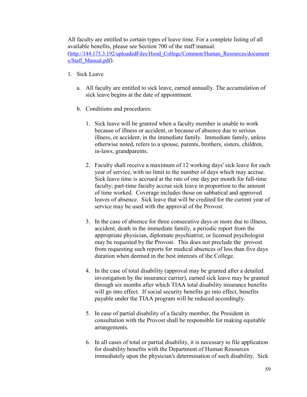All faculty are entitled to certain types of leave time. For a complete listing of all available benefits, please see Section 700 of the staff manual: [\(http://144.175.3.192/uploadedFiles/Hood\\_College/Common/Human\\_Resources/document](http://144.175.3.192/uploadedFiles/Hood_College/Common/Human_Resources/documents/Staff_Manual.pdf) [s/Staff\\_Manual.pdf\)](http://144.175.3.192/uploadedFiles/Hood_College/Common/Human_Resources/documents/Staff_Manual.pdf).

- 1. Sick Leave
	- a. All faculty are entitled to sick leave, earned annually. The accumulation of sick leave begins at the date of appointment.
	- b. Conditions and procedures:
		- 1. Sick leave will be granted when a faculty member is unable to work because of illness or accident, or because of absence due to serious illness, or accident, in the immediate family. Immediate family, unless otherwise noted, refers to a spouse, parents, brothers, sisters, children, in-laws, grandparents.
		- 2. Faculty shall receive a maximum of 12 working days' sick leave for each year of service, with no limit to the number of days which may accrue. Sick leave time is accrued at the rate of one day per month for full-time faculty; part-time faculty accrue sick leave in proportion to the amount of time worked. Coverage includes those on sabbatical and approved leaves of absence. Sick leave that will be credited for the current year of service may be used with the approval of the Provost.
		- 3. In the case of absence for three consecutive days or more due to illness, accident, death in the immediate family, a periodic report from the appropriate physician, diplomate psychiatrist, or licensed psychologist may be requested by the Provost. This does not preclude the provost from requesting such reports for medical absences of less than five days duration when deemed in the best interests of the College.
		- 4. In the case of total disability (approval may be granted after a detailed investigation by the insurance carrier), earned sick leave may be granted through six months after which TIAA total disability insurance benefits will go into effect. If social security benefits go into effect, benefits payable under the TIAA program will be reduced accordingly.
		- 5. In case of partial disability of a faculty member, the President in consultation with the Provost shall be responsible for making equitable arrangements.
		- 6. In all cases of total or partial disability, it is necessary to file application for disability benefits with the Department of Human Resources immediately upon the physician's determination of such disability. Sick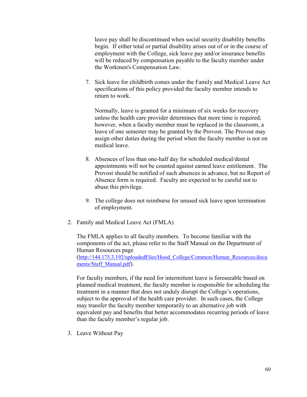leave pay shall be discontinued when social security disability benefits begin. If either total or partial disability arises out of or in the course of employment with the College, sick leave pay and/or insurance benefits will be reduced by compensation payable to the faculty member under the Workmen's Compensation Law.

7. Sick leave for childbirth comes under the Family and Medical Leave Act specifications of this policy provided the faculty member intends to return to work.

Normally, leave is granted for a minimum of six weeks for recovery unless the health care provider determines that more time is required; however, when a faculty member must be replaced in the classroom, a leave of one semester may be granted by the Provost. The Provost may assign other duties during the period when the faculty member is not on medical leave.

- 8. Absences of less than one-half day for scheduled medical/dental appointments will not be counted against earned leave entitlement. The Provost should be notified of such absences in advance, but no Report of Absence form is required. Faculty are expected to be careful not to abuse this privilege.
- 9. The college does not reimburse for unused sick leave upon termination of employment.
- 2. Family and Medical Leave Act (FMLA)

The FMLA applies to all faculty members. To become familiar with the components of the act, please refer to the Staff Manual on the Department of Human Resources page [\(http://144.175.3.192/uploadedFiles/Hood\\_College/Common/Human\\_Resources/docu](http://144.175.3.192/uploadedFiles/Hood_College/Common/Human_Resources/documents/Staff_Manual.pdf) [ments/Staff\\_Manual.pdf\)](http://144.175.3.192/uploadedFiles/Hood_College/Common/Human_Resources/documents/Staff_Manual.pdf).

For faculty members, if the need for intermittent leave is foreseeable based on planned medical treatment, the faculty member is responsible for scheduling the treatment in a manner that does not unduly disrupt the College's operations, subject to the approval of the health care provider. In such cases, the College may transfer the faculty member temporarily to an alternative job with equivalent pay and benefits that better accommodates recurring periods of leave than the faculty member's regular job.

3. Leave Without Pay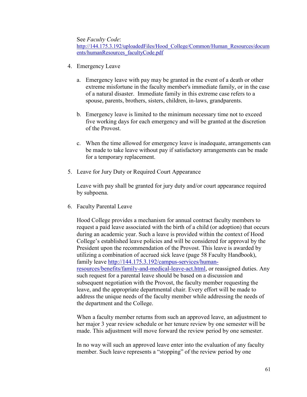See *Faculty Code*:

[http://144.175.3.192/uploadedFiles/Hood\\_College/Common/Human\\_Resources/docum](http://144.175.3.192/uploadedFiles/Hood_College/Common/Human_Resources/documents/humanResources_facultyCode.pdf) [ents/humanResources\\_facultyCode.pdf](http://144.175.3.192/uploadedFiles/Hood_College/Common/Human_Resources/documents/humanResources_facultyCode.pdf)

- 4. Emergency Leave
	- a. Emergency leave with pay may be granted in the event of a death or other extreme misfortune in the faculty member's immediate family, or in the case of a natural disaster. Immediate family in this extreme case refers to a spouse, parents, brothers, sisters, children, in-laws, grandparents.
	- b. Emergency leave is limited to the minimum necessary time not to exceed five working days for each emergency and will be granted at the discretion of the Provost.
	- c. When the time allowed for emergency leave is inadequate, arrangements can be made to take leave without pay if satisfactory arrangements can be made for a temporary replacement.
- 5. Leave for Jury Duty or Required Court Appearance

Leave with pay shall be granted for jury duty and/or court appearance required by subpoena.

6. Faculty Parental Leave

Hood College provides a mechanism for annual contract faculty members to request a paid leave associated with the birth of a child (or adoption) that occurs during an academic year. Such a leave is provided within the context of Hood College's established leave policies and will be considered for approval by the President upon the recommendation of the Provost. This leave is awarded by utilizing a combination of accrued sick leave (page 58 Faculty Handbook), family leave [http://144.175.3.192/campus-services/human](http://144.175.3.192/campus-services/human-resources/benefits/family-and-medical-leave-act.html)[resources/benefits/family-and-medical-leave-act.html,](http://144.175.3.192/campus-services/human-resources/benefits/family-and-medical-leave-act.html) or reassigned duties. Any such request for a parental leave should be based on a discussion and subsequent negotiation with the Provost, the faculty member requesting the leave, and the appropriate departmental chair. Every effort will be made to address the unique needs of the faculty member while addressing the needs of the department and the College.

When a faculty member returns from such an approved leave, an adjustment to her major 3 year review schedule or her tenure review by one semester will be made. This adjustment will move forward the review period by one semester.

In no way will such an approved leave enter into the evaluation of any faculty member. Such leave represents a "stopping" of the review period by one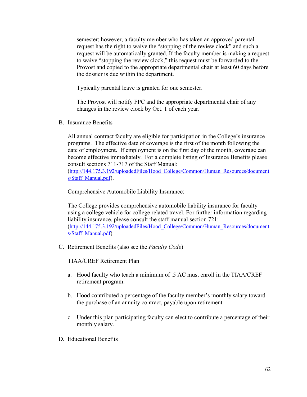semester; however, a faculty member who has taken an approved parental request has the right to waive the "stopping of the review clock" and such a request will be automatically granted. If the faculty member is making a request to waive "stopping the review clock," this request must be forwarded to the Provost and copied to the appropriate departmental chair at least 60 days before the dossier is due within the department.

Typically parental leave is granted for one semester.

The Provost will notify FPC and the appropriate departmental chair of any changes in the review clock by Oct. 1 of each year.

B. Insurance Benefits

All annual contract faculty are eligible for participation in the College's insurance programs. The effective date of coverage is the first of the month following the date of employment. If employment is on the first day of the month, coverage can become effective immediately. For a complete listing of Insurance Benefits please consult sections 711-717 of the Staff Manual: [\(http://144.175.3.192/uploadedFiles/Hood\\_College/Common/Human\\_Resources/document](http://144.175.3.192/uploadedFiles/Hood_College/Common/Human_Resources/documents/Staff_Manual.pdf) [s/Staff\\_Manual.pdf\)](http://144.175.3.192/uploadedFiles/Hood_College/Common/Human_Resources/documents/Staff_Manual.pdf).

Comprehensive Automobile Liability Insurance:

The College provides comprehensive automobile liability insurance for faculty using a college vehicle for college related travel. For further information regarding liability insurance, please consult the staff manual section 721: [\(http://144.175.3.192/uploadedFiles/Hood\\_College/Common/Human\\_Resources/document](http://144.175.3.192/uploadedFiles/Hood_College/Common/Human_Resources/documents/Staff_Manual.pdf) [s/Staff\\_Manual.pdf\)](http://144.175.3.192/uploadedFiles/Hood_College/Common/Human_Resources/documents/Staff_Manual.pdf)

C. Retirement Benefits (also see the *Faculty Code*)

TIAA/CREF Retirement Plan

- a. Hood faculty who teach a minimum of .5 AC must enroll in the TIAA/CREF retirement program.
- b. Hood contributed a percentage of the faculty member's monthly salary toward the purchase of an annuity contract, payable upon retirement.
- c. Under this plan participating faculty can elect to contribute a percentage of their monthly salary.
- D. Educational Benefits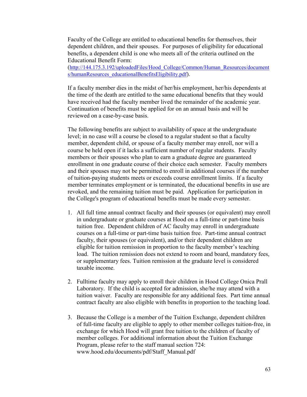Faculty of the College are entitled to educational benefits for themselves, their dependent children, and their spouses. For purposes of eligibility for educational benefits, a dependent child is one who meets all of the criteria outlined on the Educational Benefit Form:

[\(http://144.175.3.192/uploadedFiles/Hood\\_College/Common/Human\\_Resources/document](http://144.175.3.192/uploadedFiles/Hood_College/Common/Human_Resources/documents/humanResources_educationalBenefitsEligibility.pdf) [s/humanResources\\_educationalBenefitsEligibility.pdf\)](http://144.175.3.192/uploadedFiles/Hood_College/Common/Human_Resources/documents/humanResources_educationalBenefitsEligibility.pdf).

If a faculty member dies in the midst of her/his employment, her/his dependents at the time of the death are entitled to the same educational benefits that they would have received had the faculty member lived the remainder of the academic year. Continuation of benefits must be applied for on an annual basis and will be reviewed on a case-by-case basis.

The following benefits are subject to availability of space at the undergraduate level; in no case will a course be closed to a regular student so that a faculty member, dependent child, or spouse of a faculty member may enroll, nor will a course be held open if it lacks a sufficient number of regular students. Faculty members or their spouses who plan to earn a graduate degree are guaranteed enrollment in one graduate course of their choice each semester. Faculty members and their spouses may not be permitted to enroll in additional courses if the number of tuition-paying students meets or exceeds course enrollment limits. If a faculty member terminates employment or is terminated, the educational benefits in use are revoked, and the remaining tuition must be paid. Application for participation in the College's program of educational benefits must be made every semester.

- 1. All full time annual contract faculty and their spouses (or equivalent) may enroll in undergraduate or graduate courses at Hood on a full-time or part-time basis tuition free. Dependent children of AC faculty may enroll in undergraduate courses on a full-time or part-time basis tuition free. Part-time annual contract faculty, their spouses (or equivalent), and/or their dependent children are eligible for tuition remission in proportion to the faculty member's teaching load. The tuition remission does not extend to room and board, mandatory fees, or supplementary fees. Tuition remission at the graduate level is considered taxable income.
- 2. Fulltime faculty may apply to enroll their children in Hood College Onica Prall Laboratory. If the child is accepted for admission, she/he may attend with a tuition waiver. Faculty are responsible for any additional fees. Part time annual contract faculty are also eligible with benefits in proportion to the teaching load.
- 3. Because the College is a member of the Tuition Exchange, dependent children of full-time faculty are eligible to apply to other member colleges tuition-free, in exchange for which Hood will grant free tuition to the children of faculty of member colleges. For additional information about the Tuition Exchange Program, please refer to the staff manual section 724: www.hood.edu/documents/pdf/Staff\_Manual.pdf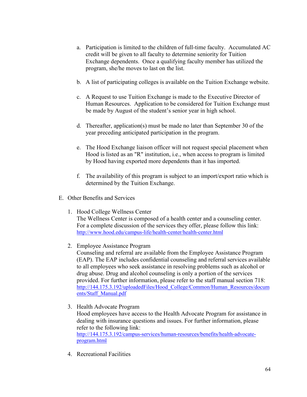- a. Participation is limited to the children of full-time faculty. Accumulated AC credit will be given to all faculty to determine seniority for Tuition Exchange dependents. Once a qualifying faculty member has utilized the program, she/he moves to last on the list.
- b. A list of participating colleges is available on the Tuition Exchange website.
- c. A Request to use Tuition Exchange is made to the Executive Director of Human Resources. Application to be considered for Tuition Exchange must be made by August of the student's senior year in high school.
- d. Thereafter, application(s) must be made no later than September 30 of the year preceding anticipated participation in the program.
- e. The Hood Exchange liaison officer will not request special placement when Hood is listed as an "R" institution, i.e., when access to program is limited by Hood having exported more dependents than it has imported.
- f. The availability of this program is subject to an import/export ratio which is determined by the Tuition Exchange.
- E. Other Benefits and Services
	- 1. Hood College Wellness Center The Wellness Center is composed of a health center and a counseling center. For a complete discussion of the services they offer, please follow this link: <http://www.hood.edu/campus-life/health-center/health-center.html>
	- 2. Employee Assistance Program

Counseling and referral are available from the Employee Assistance Program (EAP). The EAP includes confidential counseling and referral services available to all employees who seek assistance in resolving problems such as alcohol or drug abuse. Drug and alcohol counseling is only a portion of the services provided. For further information, please refer to the staff manual section 718: [http://144.175.3.192/uploadedFiles/Hood\\_College/Common/Human\\_Resources/docum](http://144.175.3.192/uploadedFiles/Hood_College/Common/Human_Resources/documents/Staff_Manual.pdf) [ents/Staff\\_Manual.pdf](http://144.175.3.192/uploadedFiles/Hood_College/Common/Human_Resources/documents/Staff_Manual.pdf)

3. Health Advocate Program

Hood employees have access to the Health Advocate Program for assistance in dealing with insurance questions and issues. For further information, please refer to the following link: [http://144.175.3.192/campus-services/human-resources/benefits/health-advocate](http://144.175.3.192/campus-services/human-resources/benefits/health-advocate-program.html)[program.html](http://144.175.3.192/campus-services/human-resources/benefits/health-advocate-program.html)

4. Recreational Facilities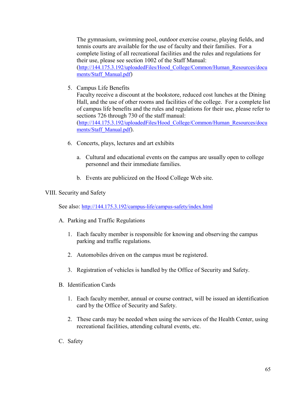The gymnasium, swimming pool, outdoor exercise course, playing fields, and tennis courts are available for the use of faculty and their families. For a complete listing of all recreational facilities and the rules and regulations for their use, please see section 1002 of the Staff Manual: [\(http://144.175.3.192/uploadedFiles/Hood\\_College/Common/Human\\_Resources/docu](http://144.175.3.192/uploadedFiles/Hood_College/Common/Human_Resources/documents/Staff_Manual.pdf) [ments/Staff\\_Manual.pdf\)](http://144.175.3.192/uploadedFiles/Hood_College/Common/Human_Resources/documents/Staff_Manual.pdf)

5. Campus Life Benefits

Faculty receive a discount at the bookstore, reduced cost lunches at the Dining Hall, and the use of other rooms and facilities of the college. For a complete list of campus life benefits and the rules and regulations for their use, please refer to sections 726 through 730 of the staff manual: [\(http://144.175.3.192/uploadedFiles/Hood\\_College/Common/Human\\_Resources/docu](http://144.175.3.192/uploadedFiles/Hood_College/Common/Human_Resources/documents/Staff_Manual.pdf)

[ments/Staff\\_Manual.pdf\)](http://144.175.3.192/uploadedFiles/Hood_College/Common/Human_Resources/documents/Staff_Manual.pdf).

- 6. Concerts, plays, lectures and art exhibits
	- a. Cultural and educational events on the campus are usually open to college personnel and their immediate families.
	- b. Events are publicized on the Hood College Web site.

## VIII. Security and Safety

See also:<http://144.175.3.192/campus-life/campus-safety/index.html>

- A. Parking and Traffic Regulations
	- 1. Each faculty member is responsible for knowing and observing the campus parking and traffic regulations.
	- 2. Automobiles driven on the campus must be registered.
	- 3. Registration of vehicles is handled by the Office of Security and Safety.
- B. Identification Cards
	- 1. Each faculty member, annual or course contract, will be issued an identification card by the Office of Security and Safety.
	- 2. These cards may be needed when using the services of the Health Center, using recreational facilities, attending cultural events, etc.
- C. Safety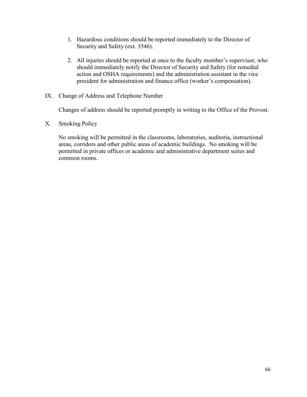- 1. Hazardous conditions should be reported immediately to the Director of Security and Safety (ext. 3546).
- 2. All injuries should be reported at once to the faculty member's supervisor, who should immediately notify the Director of Security and Safety (for remedial action and OSHA requirements) and the administration assistant in the vice president for administration and finance office (worker's compensation).
- IX. Change of Address and Telephone Number

Changes of address should be reported promptly in writing to the Office of the Provost.

X. Smoking Policy

No smoking will be permitted in the classrooms, laboratories, auditoria, instructional areas, corridors and other public areas of academic buildings. No smoking will be permitted in private offices or academic and administrative department suites and common rooms.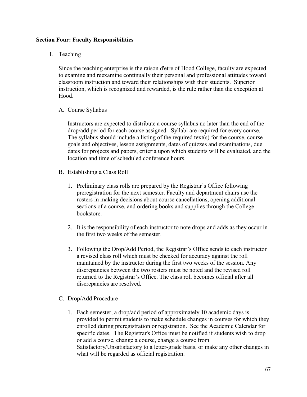## **Section Four: Faculty Responsibilities**

I. Teaching

Since the teaching enterprise is the raison d'etre of Hood College, faculty are expected to examine and reexamine continually their personal and professional attitudes toward classroom instruction and toward their relationships with their students. Superior instruction, which is recognized and rewarded, is the rule rather than the exception at Hood.

A. Course Syllabus

Instructors are expected to distribute a course syllabus no later than the end of the drop/add period for each course assigned. Syllabi are required for every course. The syllabus should include a listing of the required text(s) for the course, course goals and objectives, lesson assignments, dates of quizzes and examinations, due dates for projects and papers, criteria upon which students will be evaluated, and the location and time of scheduled conference hours.

- B. Establishing a Class Roll
	- 1. Preliminary class rolls are prepared by the Registrar's Office following preregistration for the next semester. Faculty and department chairs use the rosters in making decisions about course cancellations, opening additional sections of a course, and ordering books and supplies through the College bookstore.
	- 2. It is the responsibility of each instructor to note drops and adds as they occur in the first two weeks of the semester.
	- 3. Following the Drop/Add Period, the Registrar's Office sends to each instructor a revised class roll which must be checked for accuracy against the roll maintained by the instructor during the first two weeks of the session. Any discrepancies between the two rosters must be noted and the revised roll returned to the Registrar's Office. The class roll becomes official after all discrepancies are resolved.
- C. Drop/Add Procedure
	- 1. Each semester, a drop/add period of approximately 10 academic days is provided to permit students to make schedule changes in courses for which they enrolled during preregistration or registration. See the Academic Calendar for specific dates. The Registrar's Office must be notified if students wish to drop or add a course, change a course, change a course from Satisfactory/Unsatisfactory to a letter-grade basis, or make any other changes in what will be regarded as official registration.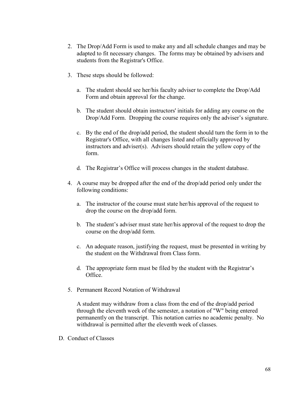- 2. The Drop/Add Form is used to make any and all schedule changes and may be adapted to fit necessary changes. The forms may be obtained by advisers and students from the Registrar's Office.
- 3. These steps should be followed:
	- a. The student should see her/his faculty adviser to complete the Drop/Add Form and obtain approval for the change.
	- b. The student should obtain instructors' initials for adding any course on the Drop/Add Form. Dropping the course requires only the adviser's signature.
	- c. By the end of the drop/add period, the student should turn the form in to the Registrar's Office, with all changes listed and officially approved by instructors and adviser(s). Advisers should retain the yellow copy of the form.
	- d. The Registrar's Office will process changes in the student database.
- 4. A course may be dropped after the end of the drop/add period only under the following conditions:
	- a. The instructor of the course must state her/his approval of the request to drop the course on the drop/add form.
	- b. The student's adviser must state her/his approval of the request to drop the course on the drop/add form.
	- c. An adequate reason, justifying the request, must be presented in writing by the student on the Withdrawal from Class form.
	- d. The appropriate form must be filed by the student with the Registrar's Office.
- 5. Permanent Record Notation of Withdrawal

A student may withdraw from a class from the end of the drop/add period through the eleventh week of the semester, a notation of "W" being entered permanently on the transcript. This notation carries no academic penalty. No withdrawal is permitted after the eleventh week of classes.

D. Conduct of Classes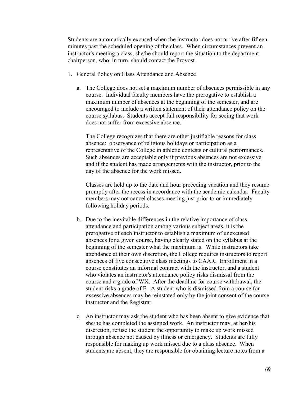Students are automatically excused when the instructor does not arrive after fifteen minutes past the scheduled opening of the class. When circumstances prevent an instructor's meeting a class, she/he should report the situation to the department chairperson, who, in turn, should contact the Provost.

- 1. General Policy on Class Attendance and Absence
	- a. The College does not set a maximum number of absences permissible in any course. Individual faculty members have the prerogative to establish a maximum number of absences at the beginning of the semester, and are encouraged to include a written statement of their attendance policy on the course syllabus. Students accept full responsibility for seeing that work does not suffer from excessive absence.

The College recognizes that there are other justifiable reasons for class absence: observance of religious holidays or participation as a representative of the College in athletic contests or cultural performances. Such absences are acceptable only if previous absences are not excessive and if the student has made arrangements with the instructor, prior to the day of the absence for the work missed.

Classes are held up to the date and hour preceding vacation and they resume promptly after the recess in accordance with the academic calendar. Faculty members may not cancel classes meeting just prior to or immediately following holiday periods.

- b. Due to the inevitable differences in the relative importance of class attendance and participation among various subject areas, it is the prerogative of each instructor to establish a maximum of unexcused absences for a given course, having clearly stated on the syllabus at the beginning of the semester what the maximum is. While instructors take attendance at their own discretion, the College requires instructors to report absences of five consecutive class meetings to CAAR. Enrollment in a course constitutes an informal contract with the instructor, and a student who violates an instructor's attendance policy risks dismissal from the course and a grade of WX. After the deadline for course withdrawal, the student risks a grade of F. A student who is dismissed from a course for excessive absences may be reinstated only by the joint consent of the course instructor and the Registrar.
- c. An instructor may ask the student who has been absent to give evidence that she/he has completed the assigned work. An instructor may, at her/his discretion, refuse the student the opportunity to make up work missed through absence not caused by illness or emergency. Students are fully responsible for making up work missed due to a class absence. When students are absent, they are responsible for obtaining lecture notes from a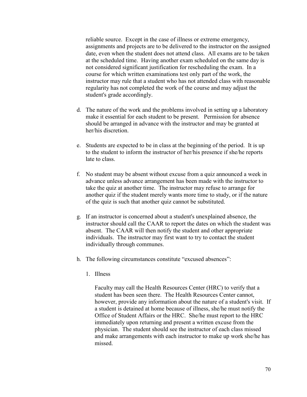reliable source. Except in the case of illness or extreme emergency, assignments and projects are to be delivered to the instructor on the assigned date, even when the student does not attend class. All exams are to be taken at the scheduled time. Having another exam scheduled on the same day is not considered significant justification for rescheduling the exam. In a course for which written examinations test only part of the work, the instructor may rule that a student who has not attended class with reasonable regularity has not completed the work of the course and may adjust the student's grade accordingly.

- d. The nature of the work and the problems involved in setting up a laboratory make it essential for each student to be present. Permission for absence should be arranged in advance with the instructor and may be granted at her/his discretion.
- e. Students are expected to be in class at the beginning of the period. It is up to the student to inform the instructor of her/his presence if she/he reports late to class.
- f. No student may be absent without excuse from a quiz announced a week in advance unless advance arrangement has been made with the instructor to take the quiz at another time. The instructor may refuse to arrange for another quiz if the student merely wants more time to study, or if the nature of the quiz is such that another quiz cannot be substituted.
- g. If an instructor is concerned about a student's unexplained absence, the instructor should call the CAAR to report the dates on which the student was absent. The CAAR will then notify the student and other appropriate individuals. The instructor may first want to try to contact the student individually through communes.
- h. The following circumstances constitute "excused absences":
	- 1. Illness

Faculty may call the Health Resources Center (HRC) to verify that a student has been seen there. The Health Resources Center cannot, however, provide any information about the nature of a student's visit. If a student is detained at home because of illness, she/he must notify the Office of Student Affairs or the HRC. She/he must report to the HRC immediately upon returning and present a written excuse from the physician. The student should see the instructor of each class missed and make arrangements with each instructor to make up work she/he has missed.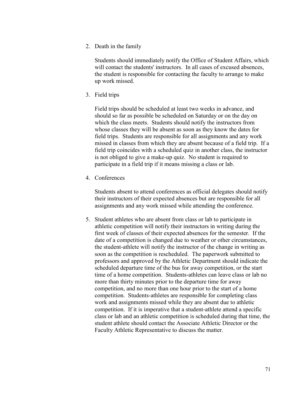2. Death in the family

Students should immediately notify the Office of Student Affairs, which will contact the students' instructors. In all cases of excused absences, the student is responsible for contacting the faculty to arrange to make up work missed.

3. Field trips

Field trips should be scheduled at least two weeks in advance, and should so far as possible be scheduled on Saturday or on the day on which the class meets. Students should notify the instructors from whose classes they will be absent as soon as they know the dates for field trips. Students are responsible for all assignments and any work missed in classes from which they are absent because of a field trip. If a field trip coincides with a scheduled quiz in another class, the instructor is not obliged to give a make-up quiz. No student is required to participate in a field trip if it means missing a class or lab.

4. Conferences

Students absent to attend conferences as official delegates should notify their instructors of their expected absences but are responsible for all assignments and any work missed while attending the conference.

5. Student athletes who are absent from class or lab to participate in athletic competition will notify their instructors in writing during the first week of classes of their expected absences for the semester. If the date of a competition is changed due to weather or other circumstances, the student-athlete will notify the instructor of the change in writing as soon as the competition is rescheduled. The paperwork submitted to professors and approved by the Athletic Department should indicate the scheduled departure time of the bus for away competition, or the start time of a home competition. Students-athletes can leave class or lab no more than thirty minutes prior to the departure time for away competition, and no more than one hour prior to the start of a home competition. Students-athletes are responsible for completing class work and assignments missed while they are absent due to athletic competition. If it is imperative that a student-athlete attend a specific class or lab and an athletic competition is scheduled during that time, the student athlete should contact the Associate Athletic Director or the Faculty Athletic Representative to discuss the matter.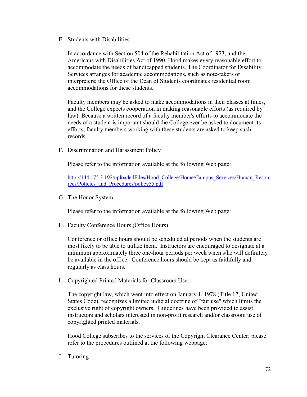E. Students with Disabilities

In accordance with Section 504 of the Rehabilitation Act of 1973, and the Americans with Disabilities Act of 1990, Hood makes every reasonable effort to accommodate the needs of handicapped students. The Coordinator for Disability Services arranges for academic accommodations, such as note-takers or interpreters; the Office of the Dean of Students coordinates residential room accommodations for these students.

Faculty members may be asked to make accommodations in their classes at times, and the College expects cooperation in making reasonable efforts (as required by law). Because a written record of a faculty member's efforts to accommodate the needs of a student is important should the College ever be asked to document its efforts, faculty members working with these students are asked to keep such records.

F. Discrimination and Harassment Policy

Please refer to the information available at the following Web page:

[http://144.175.3.192/uploadedFiles/Hood\\_College/Home/Campus\\_Services/Human\\_Resou](http://144.175.3.192/uploadedFiles/Hood_College/Home/Campus_Services/Human_Resources/Policies_and_Procedures/policy55.pdf) [rces/Policies\\_and\\_Procedures/policy55.pdf](http://144.175.3.192/uploadedFiles/Hood_College/Home/Campus_Services/Human_Resources/Policies_and_Procedures/policy55.pdf)

G. The Honor System

Please refer to the information available at the following Web page:

H. Faculty Conference Hours (Office Hours)

Conference or office hours should be scheduled at periods when the students are most likely to be able to utilize them. Instructors are encouraged to designate at a minimum approximately three one-hour periods per week when s/he will definitely be available in the office. Conference hours should be kept as faithfully and regularly as class hours.

I. Copyrighted Printed Materials for Classroom Use

The copyright law, which went into effect on January 1, 1978 (Title 17, United States Code), recognizes a limited judicial doctrine of "fair use" which limits the exclusive right of copyright owners. Guidelines have been provided to assist instructors and scholars interested in non-profit research and/or classroom use of copyrighted printed materials.

Hood College subscribes to the services of the Copyright Clearance Center; please refer to the procedures outlined at the following webpage:

J. Tutoring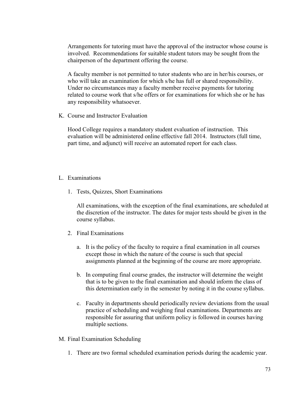Arrangements for tutoring must have the approval of the instructor whose course is involved. Recommendations for suitable student tutors may be sought from the chairperson of the department offering the course.

A faculty member is not permitted to tutor students who are in her/his courses, or who will take an examination for which s/he has full or shared responsibility. Under no circumstances may a faculty member receive payments for tutoring related to course work that s/he offers or for examinations for which she or he has any responsibility whatsoever.

K. Course and Instructor Evaluation

Hood College requires a mandatory student evaluation of instruction. This evaluation will be administered online effective fall 2014. Instructors (full time, part time, and adjunct) will receive an automated report for each class.

- L. Examinations
	- 1. Tests, Quizzes, Short Examinations

All examinations, with the exception of the final examinations, are scheduled at the discretion of the instructor. The dates for major tests should be given in the course syllabus.

- 2. Final Examinations
	- a. It is the policy of the faculty to require a final examination in all courses except those in which the nature of the course is such that special assignments planned at the beginning of the course are more appropriate.
	- b. In computing final course grades, the instructor will determine the weight that is to be given to the final examination and should inform the class of this determination early in the semester by noting it in the course syllabus.
	- c. Faculty in departments should periodically review deviations from the usual practice of scheduling and weighing final examinations. Departments are responsible for assuring that uniform policy is followed in courses having multiple sections.
- M. Final Examination Scheduling
	- 1. There are two formal scheduled examination periods during the academic year.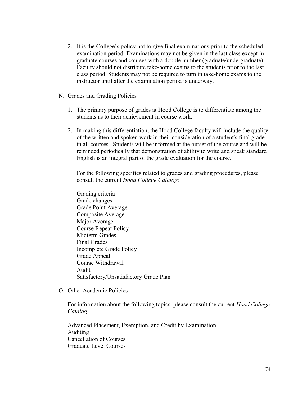- 2. It is the College's policy not to give final examinations prior to the scheduled examination period. Examinations may not be given in the last class except in graduate courses and courses with a double number (graduate/undergraduate). Faculty should not distribute take-home exams to the students prior to the last class period. Students may not be required to turn in take-home exams to the instructor until after the examination period is underway.
- N. Grades and Grading Policies
	- 1. The primary purpose of grades at Hood College is to differentiate among the students as to their achievement in course work.
	- 2. In making this differentiation, the Hood College faculty will include the quality of the written and spoken work in their consideration of a student's final grade in all courses. Students will be informed at the outset of the course and will be reminded periodically that demonstration of ability to write and speak standard English is an integral part of the grade evaluation for the course.

For the following specifics related to grades and grading procedures, please consult the current *Hood College Catalog*:

- Grading criteria Grade changes Grade Point Average Composite Average Major Average Course Repeat Policy Midterm Grades Final Grades Incomplete Grade Policy Grade Appeal Course Withdrawal Audit Satisfactory/Unsatisfactory Grade Plan
- O. Other Academic Policies

For information about the following topics, please consult the current *Hood College Catalog*:

Advanced Placement, Exemption, and Credit by Examination Auditing Cancellation of Courses Graduate Level Courses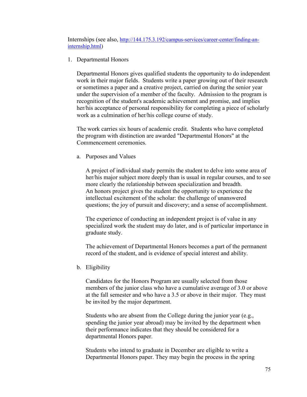Internships (see also, [http://144.175.3.192/campus-services/career-center/finding-an](http://144.175.3.192/campus-services/career-center/finding-an-internship.html)[internship.html\)](http://144.175.3.192/campus-services/career-center/finding-an-internship.html)

1. Departmental Honors

Departmental Honors gives qualified students the opportunity to do independent work in their major fields. Students write a paper growing out of their research or sometimes a paper and a creative project, carried on during the senior year under the supervision of a member of the faculty. Admission to the program is recognition of the student's academic achievement and promise, and implies her/his acceptance of personal responsibility for completing a piece of scholarly work as a culmination of her/his college course of study.

The work carries six hours of academic credit. Students who have completed the program with distinction are awarded "Departmental Honors" at the Commencement ceremonies.

a. Purposes and Values

A project of individual study permits the student to delve into some area of her/his major subject more deeply than is usual in regular courses, and to see more clearly the relationship between specialization and breadth. An honors project gives the student the opportunity to experience the intellectual excitement of the scholar: the challenge of unanswered questions; the joy of pursuit and discovery; and a sense of accomplishment.

The experience of conducting an independent project is of value in any specialized work the student may do later, and is of particular importance in graduate study.

The achievement of Departmental Honors becomes a part of the permanent record of the student, and is evidence of special interest and ability.

b. Eligibility

Candidates for the Honors Program are usually selected from those members of the junior class who have a cumulative average of 3.0 or above at the fall semester and who have a 3.5 or above in their major. They must be invited by the major department.

Students who are absent from the College during the junior year (e.g., spending the junior year abroad) may be invited by the department when their performance indicates that they should be considered for a departmental Honors paper.

Students who intend to graduate in December are eligible to write a Departmental Honors paper. They may begin the process in the spring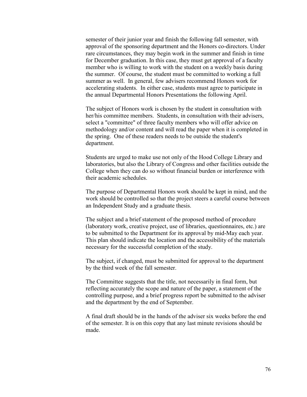semester of their junior year and finish the following fall semester, with approval of the sponsoring department and the Honors co-directors. Under rare circumstances, they may begin work in the summer and finish in time for December graduation. In this case, they must get approval of a faculty member who is willing to work with the student on a weekly basis during the summer. Of course, the student must be committed to working a full summer as well. In general, few advisers recommend Honors work for accelerating students. In either case, students must agree to participate in the annual Departmental Honors Presentations the following April.

The subject of Honors work is chosen by the student in consultation with her/his committee members. Students, in consultation with their advisers, select a "committee" of three faculty members who will offer advice on methodology and/or content and will read the paper when it is completed in the spring. One of these readers needs to be outside the student's department.

Students are urged to make use not only of the Hood College Library and laboratories, but also the Library of Congress and other facilities outside the College when they can do so without financial burden or interference with their academic schedules.

The purpose of Departmental Honors work should be kept in mind, and the work should be controlled so that the project steers a careful course between an Independent Study and a graduate thesis.

The subject and a brief statement of the proposed method of procedure (laboratory work, creative project, use of libraries, questionnaires, etc.) are to be submitted to the Department for its approval by mid-May each year. This plan should indicate the location and the accessibility of the materials necessary for the successful completion of the study.

The subject, if changed, must be submitted for approval to the department by the third week of the fall semester.

The Committee suggests that the title, not necessarily in final form, but reflecting accurately the scope and nature of the paper, a statement of the controlling purpose, and a brief progress report be submitted to the adviser and the department by the end of September.

A final draft should be in the hands of the adviser six weeks before the end of the semester. It is on this copy that any last minute revisions should be made.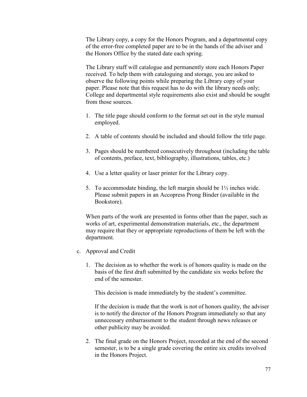The Library copy, a copy for the Honors Program, and a departmental copy of the error-free completed paper are to be in the hands of the adviser and the Honors Office by the stated date each spring.

The Library staff will catalogue and permanently store each Honors Paper received. To help them with cataloguing and storage, you are asked to observe the following points while preparing the Library copy of your paper. Please note that this request has to do with the library needs only; College and departmental style requirements also exist and should be sought from those sources.

- 1. The title page should conform to the format set out in the style manual employed.
- 2. A table of contents should be included and should follow the title page.
- 3. Pages should be numbered consecutively throughout (including the table of contents, preface, text, bibliography, illustrations, tables, etc.)
- 4. Use a letter quality or laser printer for the Library copy.
- 5. To accommodate binding, the left margin should be  $1\frac{1}{2}$  inches wide. Please submit papers in an Accopress Prong Binder (available in the Bookstore).

When parts of the work are presented in forms other than the paper, such as works of art, experimental demonstration materials, etc., the department may require that they or appropriate reproductions of them be left with the department.

- c. Approval and Credit
	- 1. The decision as to whether the work is of honors quality is made on the basis of the first draft submitted by the candidate six weeks before the end of the semester.

This decision is made immediately by the student's committee.

If the decision is made that the work is not of honors quality, the adviser is to notify the director of the Honors Program immediately so that any unnecessary embarrassment to the student through news releases or other publicity may be avoided.

2. The final grade on the Honors Project, recorded at the end of the second semester, is to be a single grade covering the entire six credits involved in the Honors Project.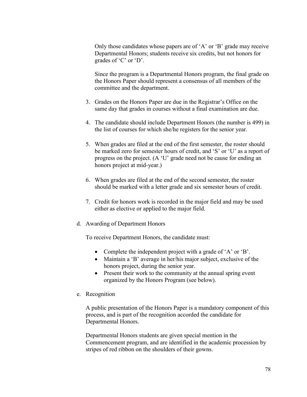Only those candidates whose papers are of 'A' or 'B' grade may receive Departmental Honors; students receive six credits, but not honors for grades of 'C' or 'D'.

Since the program is a Departmental Honors program, the final grade on the Honors Paper should represent a consensus of all members of the committee and the department.

- 3. Grades on the Honors Paper are due in the Registrar's Office on the same day that grades in courses without a final examination are due.
- 4. The candidate should include Department Honors (the number is 499) in the list of courses for which she/he registers for the senior year.
- 5. When grades are filed at the end of the first semester, the roster should be marked zero for semester hours of credit, and 'S' or 'U' as a report of progress on the project. (A 'U' grade need not be cause for ending an honors project at mid-year.)
- 6. When grades are filed at the end of the second semester, the roster should be marked with a letter grade and six semester hours of credit.
- 7. Credit for honors work is recorded in the major field and may be used either as elective or applied to the major field.
- d. Awarding of Department Honors

To receive Department Honors, the candidate must:

- Complete the independent project with a grade of 'A' or 'B'.
- Maintain a 'B' average in her/his major subject, exclusive of the honors project, during the senior year.
- Present their work to the community at the annual spring event organized by the Honors Program (see below).
- e. Recognition

A public presentation of the Honors Paper is a mandatory component of this process, and is part of the recognition accorded the candidate for Departmental Honors.

Departmental Honors students are given special mention in the Commencement program, and are identified in the academic procession by stripes of red ribbon on the shoulders of their gowns.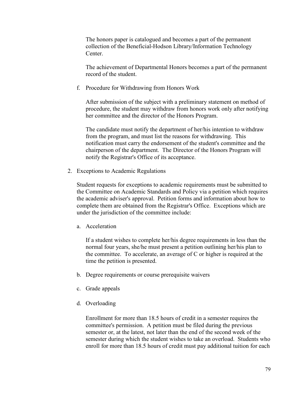The honors paper is catalogued and becomes a part of the permanent collection of the Beneficial-Hodson Library/Information Technology Center.

The achievement of Departmental Honors becomes a part of the permanent record of the student.

f. Procedure for Withdrawing from Honors Work

After submission of the subject with a preliminary statement on method of procedure, the student may withdraw from honors work only after notifying her committee and the director of the Honors Program.

The candidate must notify the department of her/his intention to withdraw from the program, and must list the reasons for withdrawing. This notification must carry the endorsement of the student's committee and the chairperson of the department. The Director of the Honors Program will notify the Registrar's Office of its acceptance.

2. Exceptions to Academic Regulations

Student requests for exceptions to academic requirements must be submitted to the Committee on Academic Standards and Policy via a petition which requires the academic adviser's approval. Petition forms and information about how to complete them are obtained from the Registrar's Office. Exceptions which are under the jurisdiction of the committee include:

a. Acceleration

If a student wishes to complete her/his degree requirements in less than the normal four years, she/he must present a petition outlining her/his plan to the committee. To accelerate, an average of C or higher is required at the time the petition is presented.

- b. Degree requirements or course prerequisite waivers
- c. Grade appeals
- d. Overloading

Enrollment for more than 18.5 hours of credit in a semester requires the committee's permission. A petition must be filed during the previous semester or, at the latest, not later than the end of the second week of the semester during which the student wishes to take an overload. Students who enroll for more than 18.5 hours of credit must pay additional tuition for each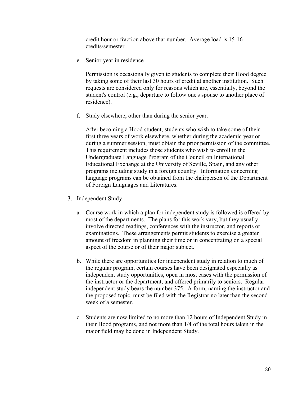credit hour or fraction above that number. Average load is 15-16 credits/semester.

e. Senior year in residence

Permission is occasionally given to students to complete their Hood degree by taking some of their last 30 hours of credit at another institution. Such requests are considered only for reasons which are, essentially, beyond the student's control (e.g., departure to follow one's spouse to another place of residence).

f. Study elsewhere, other than during the senior year.

After becoming a Hood student, students who wish to take some of their first three years of work elsewhere, whether during the academic year or during a summer session, must obtain the prior permission of the committee. This requirement includes those students who wish to enroll in the Undergraduate Language Program of the Council on International Educational Exchange at the University of Seville, Spain, and any other programs including study in a foreign country. Information concerning language programs can be obtained from the chairperson of the Department of Foreign Languages and Literatures.

- 3. Independent Study
	- a. Course work in which a plan for independent study is followed is offered by most of the departments. The plans for this work vary, but they usually involve directed readings, conferences with the instructor, and reports or examinations. These arrangements permit students to exercise a greater amount of freedom in planning their time or in concentrating on a special aspect of the course or of their major subject.
	- b. While there are opportunities for independent study in relation to much of the regular program, certain courses have been designated especially as independent study opportunities, open in most cases with the permission of the instructor or the department, and offered primarily to seniors. Regular independent study bears the number 375. A form, naming the instructor and the proposed topic, must be filed with the Registrar no later than the second week of a semester.
	- c. Students are now limited to no more than 12 hours of Independent Study in their Hood programs, and not more than 1/4 of the total hours taken in the major field may be done in Independent Study.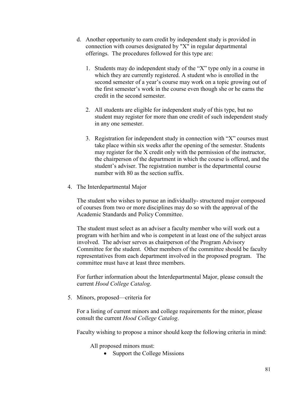- d. Another opportunity to earn credit by independent study is provided in connection with courses designated by "X" in regular departmental offerings. The procedures followed for this type are:
	- 1. Students may do independent study of the "X" type only in a course in which they are currently registered. A student who is enrolled in the second semester of a year's course may work on a topic growing out of the first semester's work in the course even though she or he earns the credit in the second semester.
	- 2. All students are eligible for independent study of this type, but no student may register for more than one credit of such independent study in any one semester.
	- 3. Registration for independent study in connection with "X" courses must take place within six weeks after the opening of the semester. Students may register for the X credit only with the permission of the instructor, the chairperson of the department in which the course is offered, and the student's adviser. The registration number is the departmental course number with 80 as the section suffix.
- 4. The Interdepartmental Major

The student who wishes to pursue an individually- structured major composed of courses from two or more disciplines may do so with the approval of the Academic Standards and Policy Committee.

The student must select as an adviser a faculty member who will work out a program with her/him and who is competent in at least one of the subject areas involved. The adviser serves as chairperson of the Program Advisory Committee for the student. Other members of the committee should be faculty representatives from each department involved in the proposed program. The committee must have at least three members.

For further information about the Interdepartmental Major, please consult the current *Hood College Catalog*.

5. Minors, proposed—criteria for

For a listing of current minors and college requirements for the minor, please consult the current *Hood College Catalog*.

Faculty wishing to propose a minor should keep the following criteria in mind:

All proposed minors must:

• Support the College Missions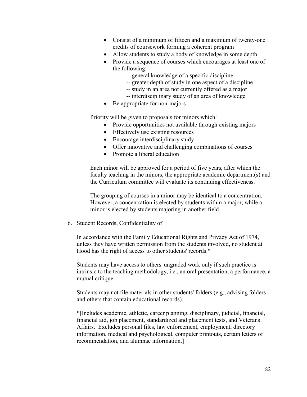- Consist of a minimum of fifteen and a maximum of twenty-one credits of coursework forming a coherent program
- Allow students to study a body of knowledge in some depth
- Provide a sequence of courses which encourages at least one of the following:
	- -- general knowledge of a specific discipline
	- -- greater depth of study in one aspect of a discipline
	- -- study in an area not currently offered as a major
	- -- interdisciplinary study of an area of knowledge
- Be appropriate for non-majors

Priority will be given to proposals for minors which:

- Provide opportunities not available through existing majors
- Effectively use existing resources
- Encourage interdisciplinary study
- Offer innovative and challenging combinations of courses
- Promote a liberal education

Each minor will be approved for a period of five years, after which the faculty teaching in the minors, the appropriate academic department(s) and the Curriculum committee will evaluate its continuing effectiveness.

The grouping of courses in a minor may be identical to a concentration. However, a concentration is elected by students within a major, while a minor is elected by students majoring in another field.

6. Student Records, Confidentiality of

In accordance with the Family Educational Rights and Privacy Act of 1974, unless they have written permission from the students involved, no student at Hood has the right of access to other students' records.\*

Students may have access to others' ungraded work only if such practice is intrinsic to the teaching methodology, i.e., an oral presentation, a performance, a mutual critique.

Students may not file materials in other students' folders (e.g., advising folders and others that contain educational records).

\*[Includes academic, athletic, career planning, disciplinary, judicial, financial, financial aid, job placement, standardized and placement tests, and Veterans Affairs. Excludes personal files, law enforcement, employment, directory information, medical and psychological, computer printouts, certain letters of recommendation, and alumnae information.]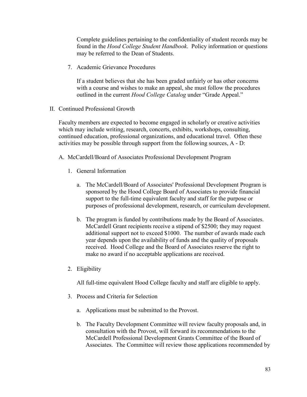Complete guidelines pertaining to the confidentiality of student records may be found in the *Hood College Student Handbook*. Policy information or questions may be referred to the Dean of Students.

7. Academic Grievance Procedures

If a student believes that she has been graded unfairly or has other concerns with a course and wishes to make an appeal, she must follow the procedures outlined in the current *Hood College Catalog* under "Grade Appeal."

II. Continued Professional Growth

Faculty members are expected to become engaged in scholarly or creative activities which may include writing, research, concerts, exhibits, workshops, consulting, continued education, professional organizations, and educational travel. Often these activities may be possible through support from the following sources, A - D:

- A. McCardell/Board of Associates Professional Development Program
	- 1. General Information
		- a. The McCardell/Board of Associates' Professional Development Program is sponsored by the Hood College Board of Associates to provide financial support to the full-time equivalent faculty and staff for the purpose or purposes of professional development, research, or curriculum development.
		- b. The program is funded by contributions made by the Board of Associates. McCardell Grant recipients receive a stipend of \$2500; they may request additional support not to exceed \$1000. The number of awards made each year depends upon the availability of funds and the quality of proposals received. Hood College and the Board of Associates reserve the right to make no award if no acceptable applications are received.
	- 2. Eligibility

All full-time equivalent Hood College faculty and staff are eligible to apply.

- 3. Process and Criteria for Selection
	- a. Applications must be submitted to the Provost.
	- b. The Faculty Development Committee will review faculty proposals and, in consultation with the Provost, will forward its recommendations to the McCardell Professional Development Grants Committee of the Board of Associates. The Committee will review those applications recommended by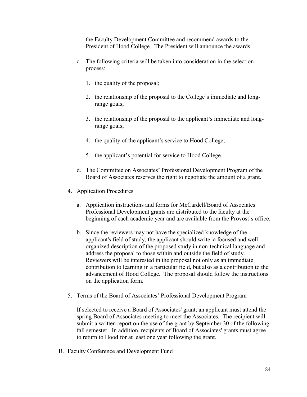the Faculty Development Committee and recommend awards to the President of Hood College. The President will announce the awards.

- c. The following criteria will be taken into consideration in the selection process:
	- 1. the quality of the proposal;
	- 2. the relationship of the proposal to the College's immediate and longrange goals;
	- 3. the relationship of the proposal to the applicant's immediate and longrange goals;
	- 4. the quality of the applicant's service to Hood College;
	- 5. the applicant's potential for service to Hood College.
- d. The Committee on Associates' Professional Development Program of the Board of Associates reserves the right to negotiate the amount of a grant.
- 4. Application Procedures
	- a. Application instructions and forms for McCardell/Board of Associates Professional Development grants are distributed to the faculty at the beginning of each academic year and are available from the Provost's office.
	- b. Since the reviewers may not have the specialized knowledge of the applicant's field of study, the applicant should write a focused and wellorganized description of the proposed study in non-technical language and address the proposal to those within and outside the field of study. Reviewers will be interested in the proposal not only as an immediate contribution to learning in a particular field, but also as a contribution to the advancement of Hood College. The proposal should follow the instructions on the application form.
- 5. Terms of the Board of Associates' Professional Development Program

If selected to receive a Board of Associates' grant, an applicant must attend the spring Board of Associates meeting to meet the Associates. The recipient will submit a written report on the use of the grant by September 30 of the following fall semester. In addition, recipients of Board of Associates' grants must agree to return to Hood for at least one year following the grant.

B. Faculty Conference and Development Fund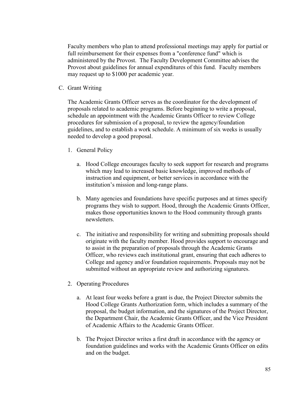Faculty members who plan to attend professional meetings may apply for partial or full reimbursement for their expenses from a "conference fund" which is administered by the Provost. The Faculty Development Committee advises the Provost about guidelines for annual expenditures of this fund. Faculty members may request up to \$1000 per academic year.

C. Grant Writing

The Academic Grants Officer serves as the coordinator for the development of proposals related to academic programs. Before beginning to write a proposal, schedule an appointment with the Academic Grants Officer to review College procedures for submission of a proposal, to review the agency/foundation guidelines, and to establish a work schedule. A minimum of six weeks is usually needed to develop a good proposal.

- 1. General Policy
	- a. Hood College encourages faculty to seek support for research and programs which may lead to increased basic knowledge, improved methods of instruction and equipment, or better services in accordance with the institution's mission and long-range plans.
	- b. Many agencies and foundations have specific purposes and at times specify programs they wish to support. Hood, through the Academic Grants Officer, makes those opportunities known to the Hood community through grants newsletters.
	- c. The initiative and responsibility for writing and submitting proposals should originate with the faculty member. Hood provides support to encourage and to assist in the preparation of proposals through the Academic Grants Officer, who reviews each institutional grant, ensuring that each adheres to College and agency and/or foundation requirements. Proposals may not be submitted without an appropriate review and authorizing signatures.
- 2. Operating Procedures
	- a. At least four weeks before a grant is due, the Project Director submits the Hood College Grants Authorization form, which includes a summary of the proposal, the budget information, and the signatures of the Project Director, the Department Chair, the Academic Grants Officer, and the Vice President of Academic Affairs to the Academic Grants Officer.
	- b. The Project Director writes a first draft in accordance with the agency or foundation guidelines and works with the Academic Grants Officer on edits and on the budget.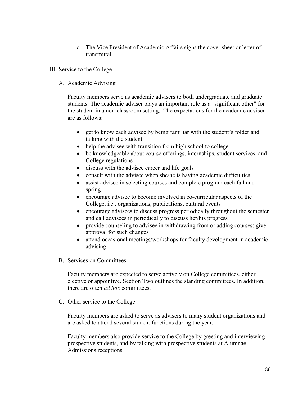- c. The Vice President of Academic Affairs signs the cover sheet or letter of transmittal.
- III. Service to the College
	- A. Academic Advising

Faculty members serve as academic advisers to both undergraduate and graduate students. The academic adviser plays an important role as a "significant other" for the student in a non-classroom setting. The expectations for the academic adviser are as follows:

- get to know each advisee by being familiar with the student's folder and talking with the student
- help the advisee with transition from high school to college
- be knowledgeable about course offerings, internships, student services, and College regulations
- discuss with the advisee career and life goals
- consult with the advisee when she/he is having academic difficulties
- assist advisee in selecting courses and complete program each fall and spring
- encourage advisee to become involved in co-curricular aspects of the College, i.e., organizations, publications, cultural events
- encourage advisees to discuss progress periodically throughout the semester and call advisees in periodically to discuss her/his progress
- provide counseling to advisee in withdrawing from or adding courses; give approval for such changes
- attend occasional meetings/workshops for faculty development in academic advising
- B. Services on Committees

Faculty members are expected to serve actively on College committees, either elective or appointive. Section Two outlines the standing committees. In addition, there are often *ad hoc* committees.

C. Other service to the College

Faculty members are asked to serve as advisers to many student organizations and are asked to attend several student functions during the year.

Faculty members also provide service to the College by greeting and interviewing prospective students, and by talking with prospective students at Alumnae Admissions receptions.